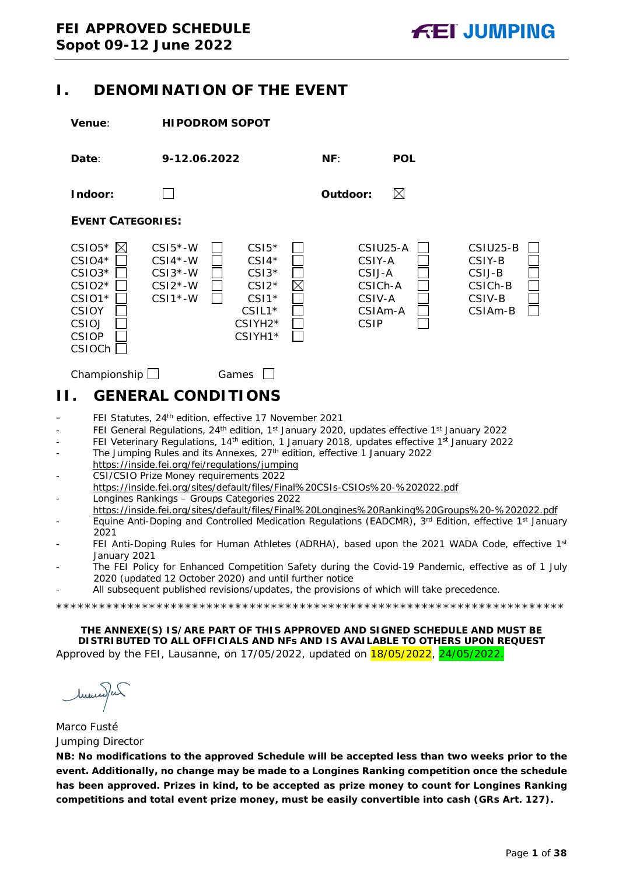## <span id="page-0-0"></span>**I. DENOMINATION OF THE EVENT**



## <span id="page-0-1"></span>**II. GENERAL CONDITIONS**

- FEI Statutes, 24<sup>th</sup> edition, effective 17 November 2021
- FEI General Regulations, 24<sup>th</sup> edition, 1<sup>st</sup> January 2020, updates effective 1<sup>st</sup> January 2022
- FEI Veterinary Regulations, 14<sup>th</sup> edition, 1 January 2018, updates effective 1<sup>st</sup> January 2022
- The Jumping Rules and its Annexes, 27<sup>th</sup> edition, effective 1 January 2022 https://inside.fei.org/fei/regulations/jumping
- CSI/CSIO Prize Money requirements 2022 https://inside.fei.org/sites/default/files/Final%20CSIs-CSIOs%20-%202022.pdf - Longines Rankings – Groups Categories 2022
- https://inside.fei.org/sites/default/files/Final%20Longines%20Ranking%20Groups%20-%202022.pdf
- Equine Anti-Doping and Controlled Medication Regulations (EADCMR), 3<sup>rd</sup> Edition, effective 1<sup>st</sup> January 2021
- FEI Anti-Doping Rules for Human Athletes (ADRHA), based upon the 2021 WADA Code, effective 1st January 2021
- The FEI Policy for Enhanced Competition Safety during the Covid-19 Pandemic, effective as of 1 July 2020 (updated 12 October 2020) and until further notice

\*\*\*\*\*\*\*\*\*\*\*\*\*\*\*\*\*\*\*\*\*\*\*\*\*\*\*\*\*\*\*\*\*\*\*\*\*\*\*\*\*\*\*\*\*\*\*\*\*\*\*\*\*\*\*\*\*\*\*\*\*\*\*\*\*\*\*\*\*\*\*

All subsequent published revisions/updates, the provisions of which will take precedence.

**THE ANNEXE(S) IS/ARE PART OF THIS APPROVED AND SIGNED SCHEDULE AND MUST BE DISTRIBUTED TO ALL OFFICIALS AND NFs AND IS AVAILABLE TO OTHERS UPON REQUEST** Approved by the FEI, Lausanne, on 17/05/2022, updated on 18/05/2022, 24/05/2022.

huma) un

Marco Fusté Jumping Director

**NB: No modifications to the approved Schedule will be accepted less than two weeks prior to the event. Additionally, no change may be made to a Longines Ranking competition once the schedule has been approved. Prizes in kind, to be accepted as prize money to count for Longines Ranking competitions and total event prize money, must be easily convertible into cash (GRs Art. 127).**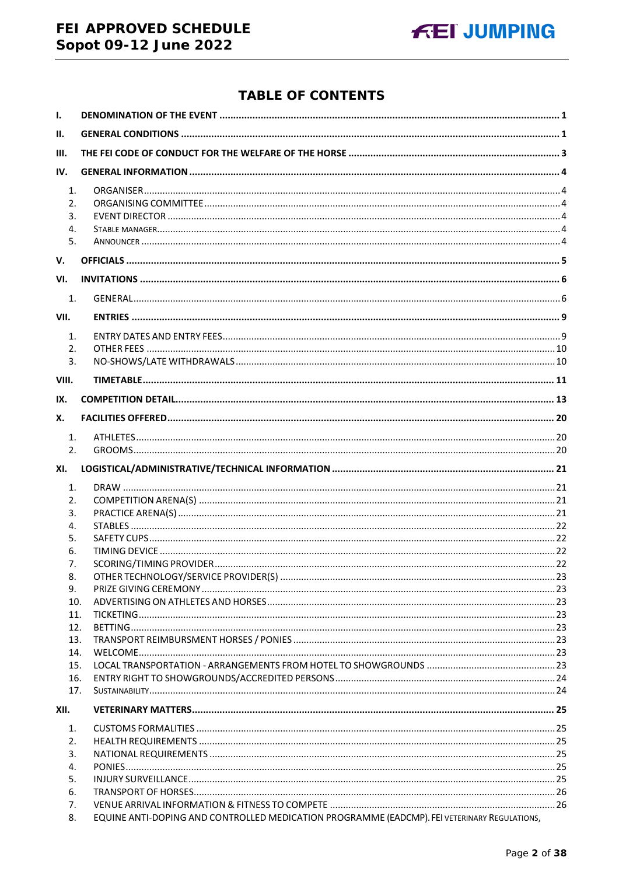## FEI APPROVED SCHEDULE Sopot 09-12 June 2022



## **TABLE OF CONTENTS**

| $\mathbf{I}$ . |                                                                                                    |  |
|----------------|----------------------------------------------------------------------------------------------------|--|
| Ш.             |                                                                                                    |  |
| III.           |                                                                                                    |  |
| IV.            |                                                                                                    |  |
| 1.             |                                                                                                    |  |
| 2.             |                                                                                                    |  |
| 3.             |                                                                                                    |  |
| 4.             |                                                                                                    |  |
| 5.             |                                                                                                    |  |
| V.             |                                                                                                    |  |
| VI.            |                                                                                                    |  |
| 1.             |                                                                                                    |  |
| VII.           |                                                                                                    |  |
| 1.             |                                                                                                    |  |
| 2.             |                                                                                                    |  |
| 3.             |                                                                                                    |  |
| VIII.          |                                                                                                    |  |
| IX.            |                                                                                                    |  |
| Х.             |                                                                                                    |  |
| 1.             |                                                                                                    |  |
| 2.             |                                                                                                    |  |
| XI.            |                                                                                                    |  |
| 1.             |                                                                                                    |  |
| 2.             |                                                                                                    |  |
| 3.             |                                                                                                    |  |
| 4.             |                                                                                                    |  |
| 5.             |                                                                                                    |  |
| 6.             |                                                                                                    |  |
| 7.             |                                                                                                    |  |
| 8.<br>9.       |                                                                                                    |  |
| 10.            |                                                                                                    |  |
| 11.            |                                                                                                    |  |
|                | 12.                                                                                                |  |
| 13.            |                                                                                                    |  |
| 14.            |                                                                                                    |  |
| 15.            |                                                                                                    |  |
| 16.            |                                                                                                    |  |
| 17.            |                                                                                                    |  |
| XII.           |                                                                                                    |  |
| 1.             |                                                                                                    |  |
| 2.             |                                                                                                    |  |
| 3.             |                                                                                                    |  |
| 4.             |                                                                                                    |  |
| 5.             |                                                                                                    |  |
| 6.<br>7.       |                                                                                                    |  |
|                | EQUINE ANTI-DOPING AND CONTROLLED MEDICATION PROGRAMME (EADCMP). FEI VETERINARY REGULATIONS,<br>8. |  |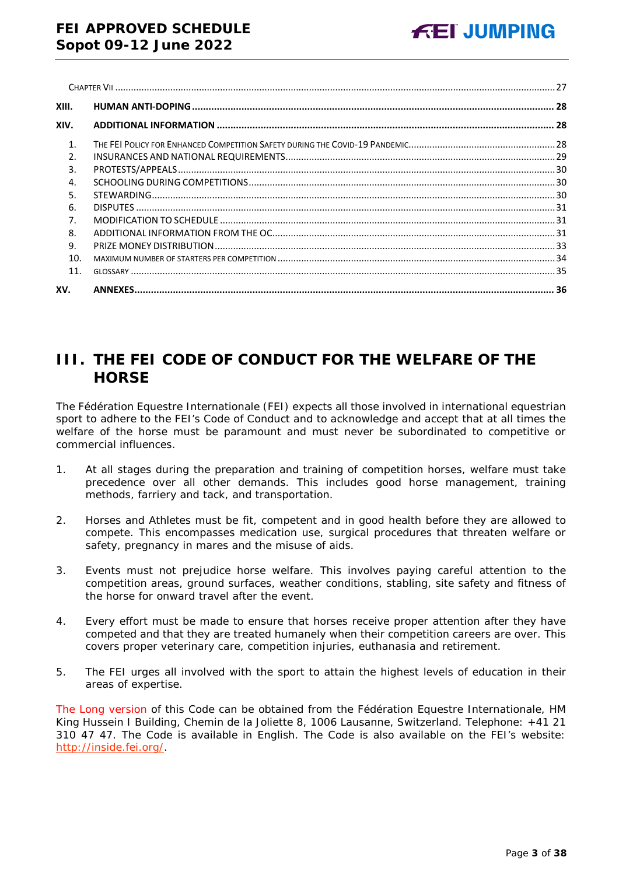| XIII.          |  |
|----------------|--|
| XIV.           |  |
| $\mathbf{1}$   |  |
| $\mathfrak{D}$ |  |
| 3.             |  |
| 4.             |  |
| 5.             |  |
| 6.             |  |
| 7 <sub>1</sub> |  |
| 8.             |  |
| 9.             |  |
| 10.            |  |
| 11.            |  |
| XV.            |  |

# <span id="page-2-0"></span>**III. THE FEI CODE OF CONDUCT FOR THE WELFARE OF THE HORSE**

The Fédération Equestre Internationale (FEI) expects all those involved in international equestrian sport to adhere to the FEI's Code of Conduct and to acknowledge and accept that at all times the welfare of the horse must be paramount and must never be subordinated to competitive or commercial influences.

- 1. At all stages during the preparation and training of competition horses, welfare must take precedence over all other demands. This includes good horse management, training methods, farriery and tack, and transportation.
- 2. Horses and Athletes must be fit, competent and in good health before they are allowed to compete. This encompasses medication use, surgical procedures that threaten welfare or safety, pregnancy in mares and the misuse of aids.
- 3. Events must not prejudice horse welfare. This involves paying careful attention to the competition areas, ground surfaces, weather conditions, stabling, site safety and fitness of the horse for onward travel after the event.
- 4. Every effort must be made to ensure that horses receive proper attention after they have competed and that they are treated humanely when their competition careers are over. This covers proper veterinary care, competition injuries, euthanasia and retirement.
- 5. The FEI urges all involved with the sport to attain the highest levels of education in their areas of expertise.

The Long version of this Code can be obtained from the Fédération Equestre Internationale, HM King Hussein I Building, Chemin de la Joliette 8, 1006 Lausanne, Switzerland. Telephone: +41 21 310 47 47. The Code is available in English. The Code is also available on the FEI's website: [http://inside.fei.org/.](http://inside.fei.org/)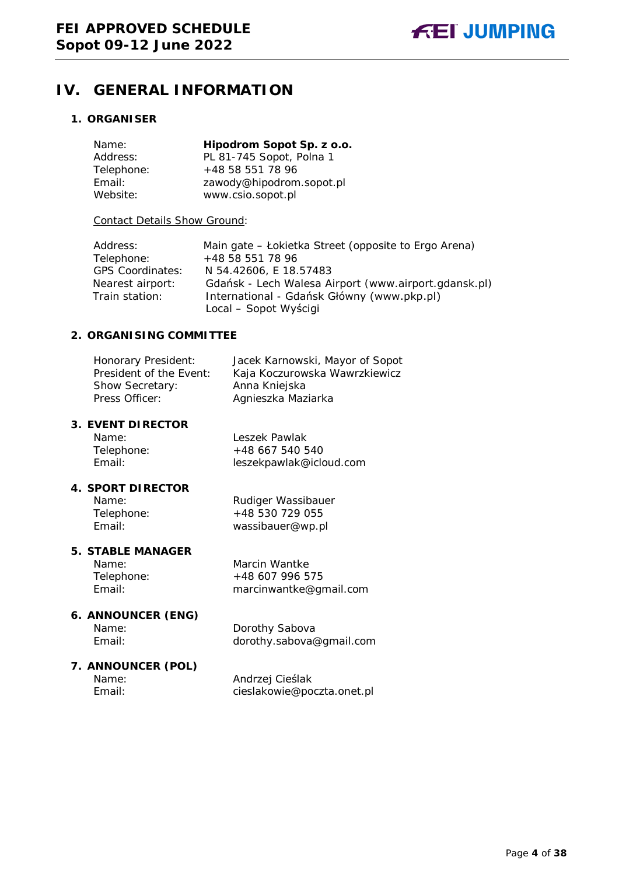## <span id="page-3-0"></span>**IV. GENERAL INFORMATION**

#### <span id="page-3-1"></span>**1. ORGANISER**

| Name:      | Hipodrom Sopot Sp. z o.o. |
|------------|---------------------------|
| Address:   | PL 81-745 Sopot, Polna 1  |
| Telephone: | +48 58 551 78 96          |
| Email:     | zawody@hipodrom.sopot.pl  |
| Website:   | www.csio.sopot.pl         |

#### Contact Details Show Ground:

| Address:                | Main gate – Łokietka Street (opposite to Ergo Arena) |
|-------------------------|------------------------------------------------------|
| Telephone:              | +48 58 551 78 96                                     |
| <b>GPS Coordinates:</b> | N 54.42606, E 18.57483                               |
| Nearest airport:        | Gdańsk - Lech Walesa Airport (www.airport.gdansk.pl) |
| Train station:          | International - Gdańsk Główny (www.pkp.pl)           |
|                         | Local – Sopot Wyścigi                                |

#### <span id="page-3-2"></span>**2. ORGANISING COMMITTEE**

| Honorary President:     | Jacek Karnowski, Mayor of Sopot |
|-------------------------|---------------------------------|
| President of the Event: | Kaja Koczurowska Wawrzkiewicz   |
| Show Secretary:         | Anna Kniejska                   |
| Press Officer:          | Agnieszka Maziarka              |

#### <span id="page-3-3"></span>**3. EVENT DIRECTOR**

| Name:      |  |
|------------|--|
| Telephone: |  |
| Email:     |  |

Leszek Pawlak +48 667 540 540 leszekpawlak@icloud.com

#### **4. SPORT DIRECTOR**

Name: Rudiger Wassibauer Telephone: +48 530 729 055<br>Email: + wassibauer@wp.c wassibauer@wp.pl

#### <span id="page-3-4"></span>**5. STABLE MANAGER**

Name: Marcin Wantke Telephone: +48 607 996 575 Email: marcinwantke@gmail.com

#### <span id="page-3-5"></span>**6. ANNOUNCER (ENG)**

Name: Dorothy Sabova Email: dorothy.sabova@gmail.com

# **7. ANNOUNCER (POL)**

Name: Andrzej Cieślak<br>
Email: Cieslakowie@po cieslakowie@poczta.onet.pl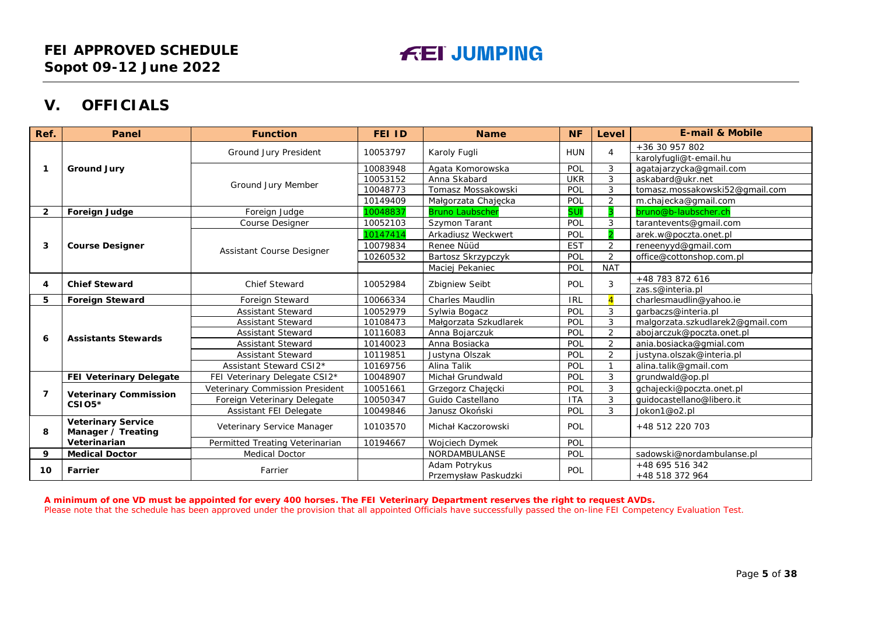## **V. OFFICIALS**

| Ref.           | Panel                                           | <b>Function</b>                 | <b>FEI ID</b>                     | <b>Name</b>                           | <b>NF</b>  | Level           | <b>E-mail &amp; Mobile</b>         |
|----------------|-------------------------------------------------|---------------------------------|-----------------------------------|---------------------------------------|------------|-----------------|------------------------------------|
|                |                                                 |                                 | 10053797                          | Karoly Fugli                          | <b>HUN</b> | $\overline{4}$  | +36 30 957 802                     |
|                |                                                 | <b>Ground Jury President</b>    |                                   |                                       |            |                 | karolyfugli@t-email.hu             |
| -1             | <b>Ground Jury</b>                              |                                 | 10083948                          | Agata Komorowska                      | POL        | 3               | agatajarzycka@gmail.com            |
|                |                                                 | Ground Jury Member              | 10053152                          | Anna Skabard                          | <b>UKR</b> | 3               | askabard@ukr.net                   |
|                |                                                 |                                 | 10048773                          | Tomasz Mossakowski                    | POL        | 3               | tomasz.mossakowski52@gmail.com     |
|                |                                                 |                                 | 10149409                          | Małgorzata Chajęcka                   | POL        | $\overline{2}$  | m.chajecka@gmail.com               |
| $\overline{2}$ | Foreign Judge                                   | Foreign Judge                   | 10048837                          | <b>Bruno Laubscher</b>                | <b>SUI</b> |                 | bruno@b-laubscher.ch               |
|                |                                                 | <b>Course Designer</b>          | 10052103                          | Szymon Tarant                         | POL        | 3               | tarantevents@gmail.com             |
|                |                                                 |                                 | 10147414                          | Arkadiusz Weckwert                    | POL        |                 | arek.w@poczta.onet.pl              |
| 3              | <b>Course Designer</b>                          | Assistant Course Designer       | 10079834                          | Renee Nüüd                            | <b>EST</b> | $\overline{2}$  | reneenyyd@gmail.com                |
|                |                                                 |                                 | 10260532                          | Bartosz Skrzypczyk                    | POL        | $\overline{2}$  | office@cottonshop.com.pl           |
|                |                                                 |                                 |                                   | Maciej Pekaniec                       | POL        | <b>NAT</b>      |                                    |
| 4              | <b>Chief Steward</b>                            | <b>Chief Steward</b>            | 10052984<br><b>Zbigniew Seibt</b> | POL                                   | 3          | +48 783 872 616 |                                    |
|                |                                                 |                                 |                                   |                                       |            |                 | zas.s@interia.pl                   |
| 5              | <b>Foreign Steward</b>                          | Foreign Steward                 | 10066334                          | Charles Maudlin                       | <b>IRL</b> | $\overline{A}$  | charlesmaudlin@yahoo.ie            |
|                |                                                 | <b>Assistant Steward</b>        | 10052979                          | Sylwia Bogacz                         | POL        | 3               | garbaczs@interia.pl                |
|                |                                                 | <b>Assistant Steward</b>        | 10108473                          | Małgorzata Szkudlarek                 | POL        | 3               | malgorzata.szkudlarek2@gmail.com   |
| 6              | <b>Assistants Stewards</b>                      | <b>Assistant Steward</b>        | 10116083                          | Anna Bojarczuk                        | POL        | $\overline{2}$  | abojarczuk@poczta.onet.pl          |
|                |                                                 | <b>Assistant Steward</b>        | 10140023                          | Anna Bosiacka                         | POL        | $\overline{2}$  | ania.bosiacka@gmial.com            |
|                |                                                 | <b>Assistant Steward</b>        | 10119851                          | Justyna Olszak                        | POL        | $\overline{2}$  | justyna.olszak@interia.pl          |
|                |                                                 | Assistant Steward CSI2*         | 10169756                          | Alina Talik                           | POL        | $\overline{1}$  | alina.talik@gmail.com              |
|                | <b>FEI Veterinary Delegate</b>                  | FEI Veterinary Delegate CSI2*   | 10048907                          | Michał Grundwald                      | POL        | 3               | grundwald@op.pl                    |
| 7              | <b>Veterinary Commission</b><br>$CSIO5*$        | Veterinary Commission President | 10051661                          | Grzegorz Chajecki                     | POL        | 3               | gchajecki@poczta.onet.pl           |
|                |                                                 | Foreign Veterinary Delegate     | 10050347                          | Guido Castellano                      | <b>ITA</b> | 3               | quidocastellano@libero.it          |
|                |                                                 | Assistant FEI Delegate          | 10049846                          | Janusz Okoński                        | POL        | 3               | Jokon1@o2.pl                       |
| 8              | <b>Veterinary Service</b><br>Manager / Treating | Veterinary Service Manager      | 10103570                          | Michał Kaczorowski                    | <b>POL</b> |                 | +48 512 220 703                    |
|                | Veterinarian                                    | Permitted Treating Veterinarian | 10194667                          | Wojciech Dymek                        | POL        |                 |                                    |
| 9              | <b>Medical Doctor</b>                           | <b>Medical Doctor</b>           |                                   | NORDAMBULANSE                         | POL        |                 | sadowski@nordambulanse.pl          |
| 10             | Farrier                                         | Farrier                         |                                   | Adam Potrykus<br>Przemysław Paskudzki | POL        |                 | +48 695 516 342<br>+48 518 372 964 |

<span id="page-4-0"></span>**A minimum of one VD must be appointed for every 400 horses. The FEI Veterinary Department reserves the right to request AVDs.** Please note that the schedule has been approved under the provision that all appointed Officials have successfully passed the on-line FEI Competency Evaluation Test.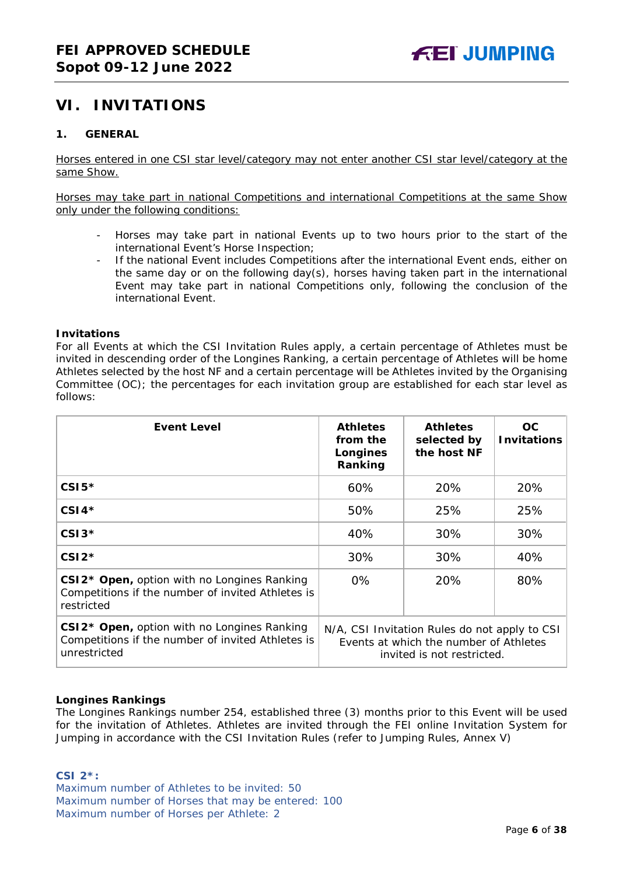## <span id="page-5-0"></span>**VI. INVITATIONS**

#### <span id="page-5-1"></span>**1. GENERAL**

Horses entered in one CSI star level/category may not enter another CSI star level/category at the same Show.

Horses may take part in national Competitions and international Competitions at the same Show only under the following conditions:

- Horses may take part in national Events up to two hours prior to the start of the international Event's Horse Inspection;
- If the national Event includes Competitions after the international Event ends, either on the same day or on the following day(s), horses having taken part in the international Event may take part in national Competitions only, following the conclusion of the international Event.

#### **Invitations**

For all Events at which the CSI Invitation Rules apply, a certain percentage of Athletes must be invited in descending order of the Longines Ranking, a certain percentage of Athletes will be home Athletes selected by the host NF and a certain percentage will be Athletes invited by the Organising Committee (OC); the percentages for each invitation group are established for each star level as follows:

| <b>Event Level</b>                                                                                                           | <b>Athletes</b><br>from the<br>Longines<br>Ranking                                                                    | <b>Athletes</b><br>selected by<br>the host NF | OC.<br><b>Invitations</b> |
|------------------------------------------------------------------------------------------------------------------------------|-----------------------------------------------------------------------------------------------------------------------|-----------------------------------------------|---------------------------|
| $CSI5*$                                                                                                                      | 60%                                                                                                                   | 20%                                           | 20%                       |
| $CSI4*$                                                                                                                      | 50%                                                                                                                   | 25%                                           | 25%                       |
| $CSI3*$                                                                                                                      | 40%                                                                                                                   | 30%                                           | 30%                       |
| $CSI2*$                                                                                                                      | 30%                                                                                                                   | 30%                                           | 40%                       |
| CSI2* Open, option with no Longines Ranking<br>Competitions if the number of invited Athletes is<br>restricted               | $0\%$                                                                                                                 | 20%                                           | 80%                       |
| CSI2 <sup>*</sup> Open, option with no Longines Ranking<br>Competitions if the number of invited Athletes is<br>unrestricted | N/A, CSI Invitation Rules do not apply to CSI<br>Events at which the number of Athletes<br>invited is not restricted. |                                               |                           |

#### **Longines Rankings**

The Longines Rankings number 254, established three (3) months prior to this Event will be used for the invitation of Athletes. Athletes are invited through the FEI online Invitation System for Jumping in accordance with the CSI Invitation Rules (refer to Jumping Rules, Annex V)

#### **CSI 2\*:**

Maximum number of Athletes to be invited: 50 Maximum number of Horses that may be entered: 100 Maximum number of Horses per Athlete: 2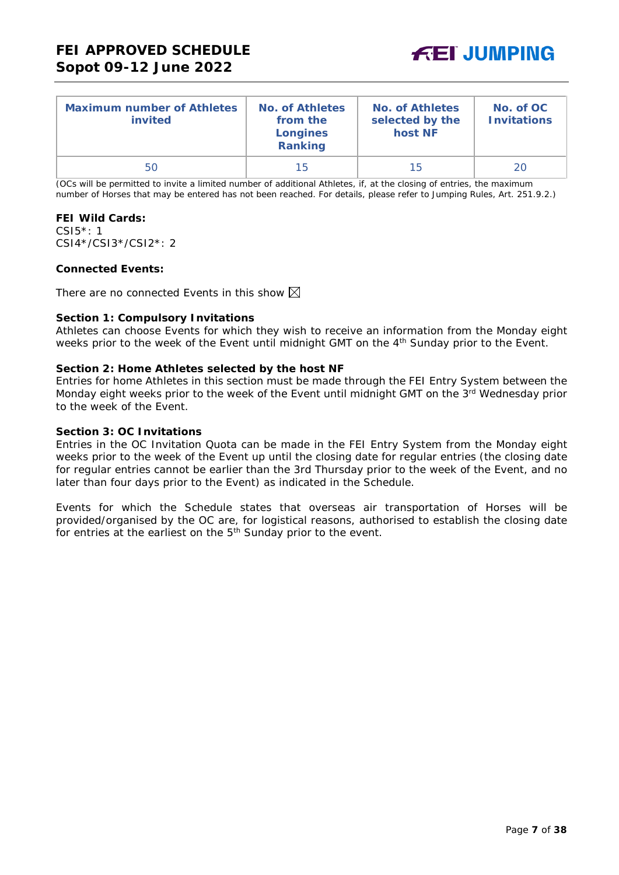

| <b>Maximum number of Athletes</b><br>invited | <b>No. of Athletes</b><br>from the<br><b>Longines</b><br>Ranking | <b>No. of Athletes</b><br>selected by the<br>host NF | No. of OC<br><b>Invitations</b> |
|----------------------------------------------|------------------------------------------------------------------|------------------------------------------------------|---------------------------------|
| 50                                           | 15                                                               | 15                                                   | 20                              |

(OCs will be permitted to invite a limited number of additional Athletes, if, at the closing of entries, the maximum number of Horses that may be entered has not been reached. For details, please refer to Jumping Rules, Art. 251.9.2.)

#### **FEI Wild Cards:**

CSI5\*: 1 CSI4\*/CSI3\*/CSI2\*: 2

#### **Connected Events:**

There are no connected Events in this show  $\boxtimes$ 

#### **Section 1: Compulsory Invitations**

Athletes can choose Events for which they wish to receive an information from the Monday eight weeks prior to the week of the Event until midnight GMT on the 4<sup>th</sup> Sunday prior to the Event.

#### **Section 2: Home Athletes selected by the host NF**

Entries for home Athletes in this section must be made through the FEI Entry System between the Monday eight weeks prior to the week of the Event until midnight GMT on the 3<sup>rd</sup> Wednesday prior to the week of the Event.

#### **Section 3: OC Invitations**

Entries in the OC Invitation Quota can be made in the FEI Entry System from the Monday eight weeks prior to the week of the Event up until the closing date for regular entries (the closing date for regular entries cannot be earlier than the 3rd Thursday prior to the week of the Event, and no later than four days prior to the Event) as indicated in the Schedule.

Events for which the Schedule states that overseas air transportation of Horses will be provided/organised by the OC are, for logistical reasons, authorised to establish the closing date for entries at the earliest on the 5<sup>th</sup> Sunday prior to the event.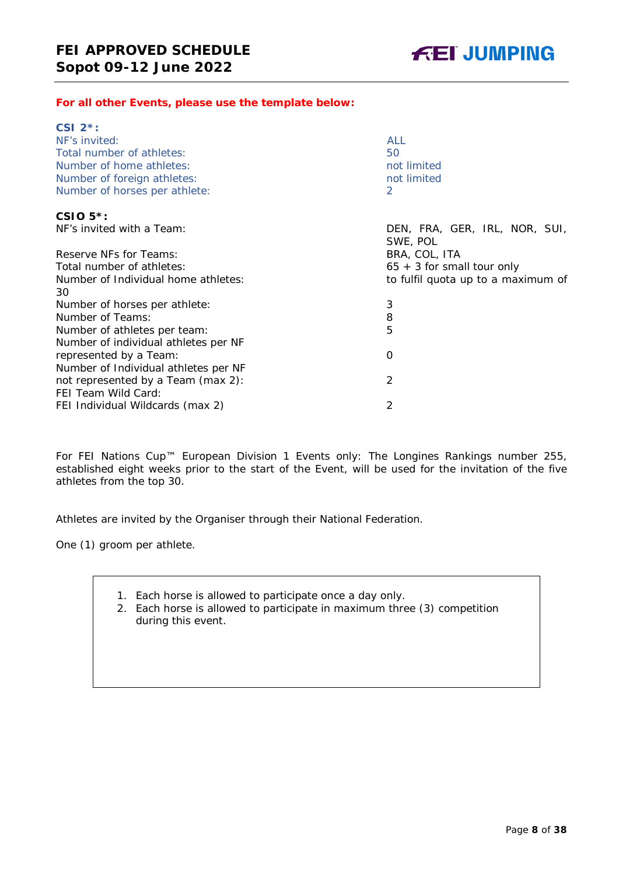#### *For all other Events, please use the template below:*

| CSI $2^*$ :                               |                                           |
|-------------------------------------------|-------------------------------------------|
| NF's invited:                             | <b>ALL</b>                                |
| Total number of athletes:                 | 50                                        |
| Number of home athletes:                  | not limited                               |
| Number of foreign athletes:               | not limited                               |
| Number of horses per athlete:             | 2                                         |
| CSIO $5$ <sup>*</sup> :                   |                                           |
| NF's invited with a Team:                 | DEN, FRA, GER, IRL, NOR, SUI,<br>SWE, POL |
| Reserve NFs for Teams:                    | BRA, COL, ITA                             |
| Total number of athletes:                 | $65 + 3$ for small tour only              |
| Number of Individual home athletes:<br>30 | to fulfil quota up to a maximum of        |
| Number of horses per athlete:             | 3                                         |
| Number of Teams:                          | 8                                         |
| Number of athletes per team:              | 5                                         |
| Number of individual athletes per NF      |                                           |
| represented by a Team:                    | O                                         |
| Number of Individual athletes per NF      |                                           |
| not represented by a Team (max 2):        | $\overline{2}$                            |
| FEI Team Wild Card:                       |                                           |
| FEI Individual Wildcards (max 2)          | 2                                         |

For FEI Nations Cup™ European Division 1 Events only: The Longines Rankings number 255, established eight weeks prior to the start of the Event, will be used for the invitation of the five athletes from the top 30.

Athletes are invited by the Organiser through their National Federation.

One (1) groom per athlete.

- 1. Each horse is allowed to participate once a day only.
- 2. Each horse is allowed to participate in maximum three (3) competition during this event.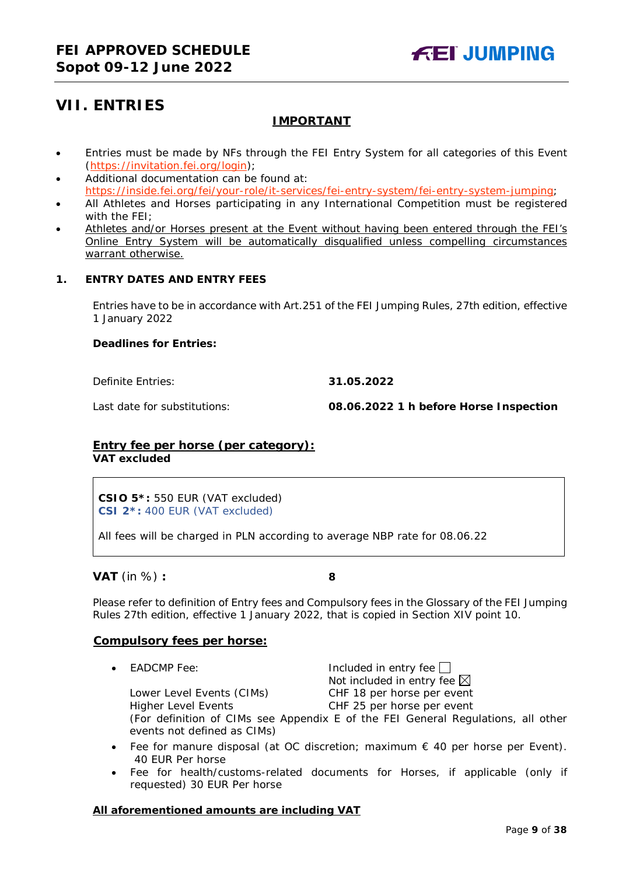## <span id="page-8-0"></span>**VII. ENTRIES**

### **IMPORTANT**

- Entries must be made by NFs through the FEI Entry System for all categories of this Event [\(https://invitation.fei.org/login\)](https://invitation.fei.org/login);
- Additional documentation can be found at: [https://inside.fei.org/fei/your-role/it-services/fei-entry-system/fei-entry-system-jumping;](https://inside.fei.org/fei/your-role/it-services/fei-entry-system/fei-entry-system-jumping)
- All Athletes and Horses participating in any International Competition must be registered with the FEI;
- Athletes and/or Horses present at the Event without having been entered through the FEI's Online Entry System will be automatically disqualified unless compelling circumstances warrant otherwise.

#### <span id="page-8-1"></span>**1. ENTRY DATES AND ENTRY FEES**

Entries have to be in accordance with Art.251 of the FEI Jumping Rules, 27th edition, effective 1 January 2022

#### **Deadlines for Entries:**

Definite Entries: **31.05.2022**

Last date for substitutions: **08.06.2022 1 h before Horse Inspection**

#### **Entry fee per horse** *(per category):* **VAT excluded**

**CSIO 5\*:** 550 EUR (VAT excluded) **CSI 2\*:** 400 EUR (VAT excluded)

All fees will be charged in PLN according to average NBP rate for 08.06.22

**VAT** (in %) **: 8**

Please refer to definition of Entry fees and Compulsory fees in the Glossary of the FEI Jumping Rules 27th edition, effective 1 January 2022, that is copied in Section XIV point 10.

#### **Compulsory fees per horse:**

• EADCMP Fee:  $\Box$  Included in entry fee  $\Box$ Not included in entry fee  $\boxtimes$ Lower Level Events (CIMs) CHF 18 per horse per event Higher Level Events CHF 25 per horse per event

(For definition of CIMs see Appendix E of the FEI General Regulations, all other events not defined as CIMs)

- Fee for manure disposal (at OC discretion; maximum  $\epsilon$  40 per horse per Event). 40 EUR Per horse
- Fee for health/customs-related documents for Horses, if applicable (only if requested) 30 EUR Per horse

#### **All aforementioned amounts are including VAT**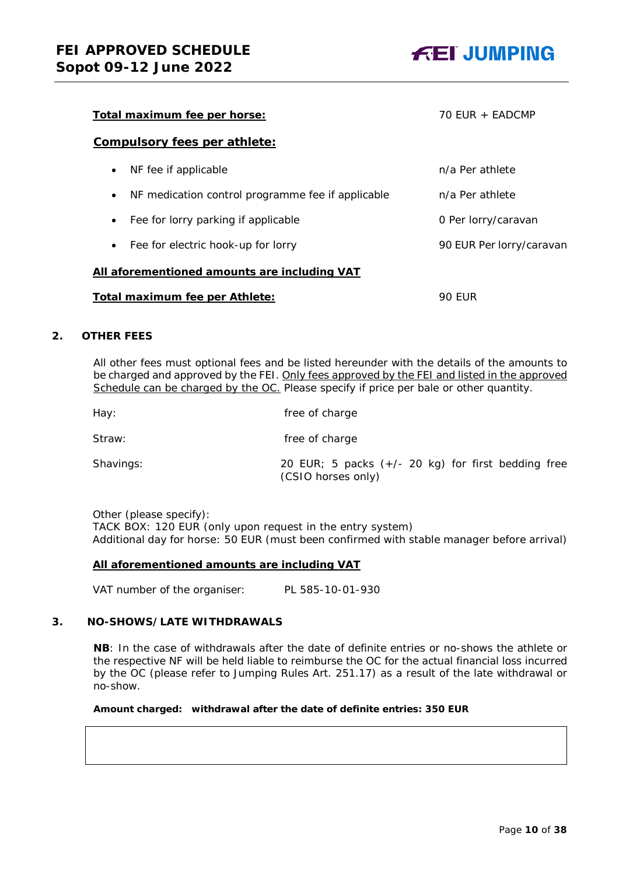

| Total maximum fee per horse:                                   | 70 EUR + EADCMP          |  |  |
|----------------------------------------------------------------|--------------------------|--|--|
| Compulsory fees per athlete:                                   |                          |  |  |
| NF fee if applicable<br>$\bullet$                              | n/a Per athlete          |  |  |
| NF medication control programme fee if applicable<br>$\bullet$ | n/a Per athlete          |  |  |
| Fee for lorry parking if applicable<br>$\bullet$               | 0 Per lorry/caravan      |  |  |
| Fee for electric hook-up for lorry<br>$\bullet$                | 90 EUR Per lorry/caravan |  |  |
| All aforementioned amounts are including VAT                   |                          |  |  |
| Total maximum fee per Athlete:<br>90 FUR                       |                          |  |  |

#### <span id="page-9-0"></span>**2. OTHER FEES**

All other fees must optional fees and be listed hereunder with the details of the amounts to be charged and approved by the FEI. Only fees approved by the FEI and listed in the approved Schedule can be charged by the OC. *Please specify if price per bale or other quantity.*

| Hay:      | free of charge                                                             |
|-----------|----------------------------------------------------------------------------|
| Straw:    | free of charge                                                             |
| Shavings: | 20 EUR; 5 packs $(+/- 20$ kg) for first bedding free<br>(CSIO horses only) |

Other (please specify): TACK BOX: 120 EUR (only upon request in the entry system) Additional day for horse: 50 EUR (must been confirmed with stable manager before arrival)

#### **All aforementioned amounts are including VAT**

VAT number of the organiser: PL 585-10-01-930

#### <span id="page-9-1"></span>**3. NO-SHOWS/LATE WITHDRAWALS**

**NB**: In the case of withdrawals after the date of definite entries or no-shows the athlete or the respective NF will be held liable to reimburse the OC for the actual financial loss incurred by the OC (please refer to Jumping Rules Art. 251.17) as a result of the late withdrawal or no-show.

#### **Amount charged: withdrawal after the date of definite entries: 350 EUR**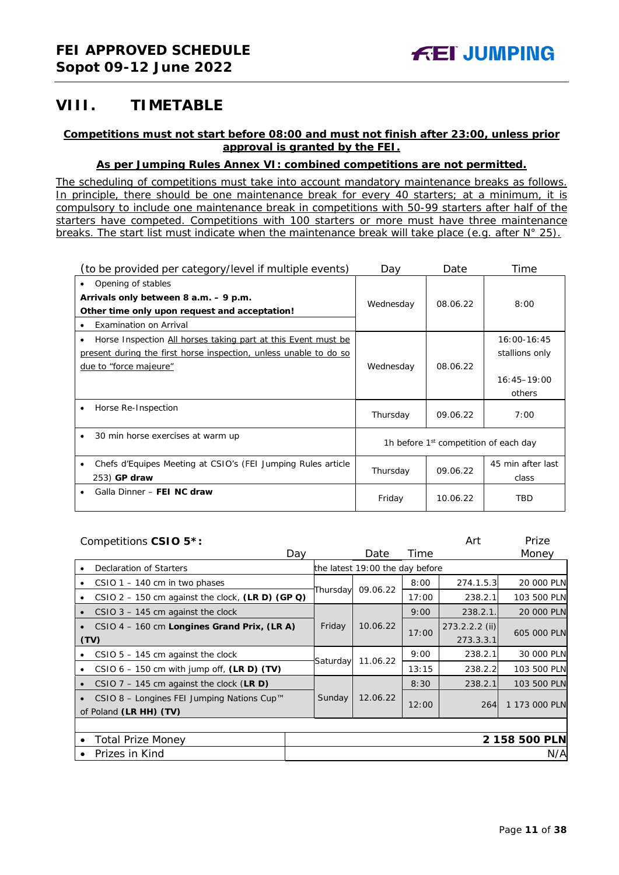## <span id="page-10-0"></span>**VIII. TIMETABLE**

#### **Competitions must not start before 08:00 and must not finish after 23:00, unless prior approval is granted by the FEI.**

#### **As per Jumping Rules Annex VI: combined competitions are not permitted.**

*The scheduling of competitions must take into account mandatory maintenance breaks as follows. In principle, there should be one maintenance break for every 40 starters; at a minimum, it is compulsory to include one maintenance break in competitions with 50-99 starters after half of the starters have competed. Competitions with 100 starters or more must have three maintenance breaks. The start list must indicate when the maintenance break will take place (e.g. after N° 25).*

| (to be provided per category/level if multiple events)                                                                                                            | Dav       | Date                                              | Time                                                         |
|-------------------------------------------------------------------------------------------------------------------------------------------------------------------|-----------|---------------------------------------------------|--------------------------------------------------------------|
| Opening of stables<br>٠<br>Arrivals only between 8 a.m. - 9 p.m.<br>Other time only upon request and acceptation!<br>Examination on Arrival<br>$\bullet$          | Wednesday | 08.06.22                                          | 8:00                                                         |
| Horse Inspection All horses taking part at this Event must be<br>٠<br>present during the first horse inspection, unless unable to do so<br>due to "force majeure" | Wednesday | 08.06.22                                          | $16:00-16:45$<br>stallions only<br>$16:45 - 19:00$<br>others |
| Horse Re-Inspection<br>$\bullet$                                                                                                                                  | Thursday  | 09.06.22                                          | 7:00                                                         |
| 30 min horse exercises at warm up<br>٠                                                                                                                            |           | 1h before 1 <sup>st</sup> competition of each day |                                                              |
| Chefs d'Equipes Meeting at CSIO's (FEI Jumping Rules article<br>٠<br>253) GP draw                                                                                 | Thursday  | 09.06.22                                          | 45 min after last<br>class                                   |
| Galla Dinner - FEI NC draw                                                                                                                                        | Friday    | 10.06.22                                          | <b>TBD</b>                                                   |

|           | Competitions CSIO 5*:                              |     |          |                                 |       | Art              | Prize         |
|-----------|----------------------------------------------------|-----|----------|---------------------------------|-------|------------------|---------------|
|           |                                                    | Day |          | Date                            | Time  |                  | Money         |
|           | Declaration of Starters                            |     |          | the latest 19:00 the day before |       |                  |               |
|           | $CSIO$ 1 – 140 cm in two phases                    |     |          |                                 | 8:00  | 274.1.5.3        | 20 000 PLN    |
| ٠         | CSIO 2 – 150 cm against the clock, $(LR D)$ (GP Q) |     | Thursday | 09.06.22                        | 17:00 | 238.2.1          | 103 500 PLN   |
| $\bullet$ | $CSIO$ 3 – 145 cm against the clock                |     |          |                                 | 9:00  | 238.2.1.         | 20 000 PLN    |
|           | CSIO 4 - 160 cm Longines Grand Prix, (LR A)        |     | Friday   | 10.06.22                        | 17:00 | $273.2.2.2$ (ii) | 605 000 PLN   |
|           | (TV)                                               |     |          |                                 |       | 273.3.3.1        |               |
|           | $CSIO$ 5 – 145 cm against the clock                |     | Saturday | 11.06.22                        | 9:00  | 238.2.1          | 30 000 PLN    |
|           | CSIO $6 - 150$ cm with jump off, (LR D) (TV)       |     |          |                                 | 13:15 | 238.2.2          | 103 500 PLN   |
| $\bullet$ | CSIO $7 - 145$ cm against the clock (LR D)         |     |          |                                 | 8:30  | 238.2.1          | 103 500 PLN   |
| $\bullet$ | CSIO 8 - Longines FEI Jumping Nations Cup™         |     | Sunday   | 12.06.22                        | 12:00 | 264              | 1 173 000 PLN |
|           | of Poland (LR HH) (TV)                             |     |          |                                 |       |                  |               |
|           |                                                    |     |          |                                 |       |                  |               |
| $\bullet$ | <b>Total Prize Money</b>                           |     |          |                                 |       |                  | 2 158 500 PLN |
|           | Prizes in Kind                                     |     |          |                                 |       |                  | N/A           |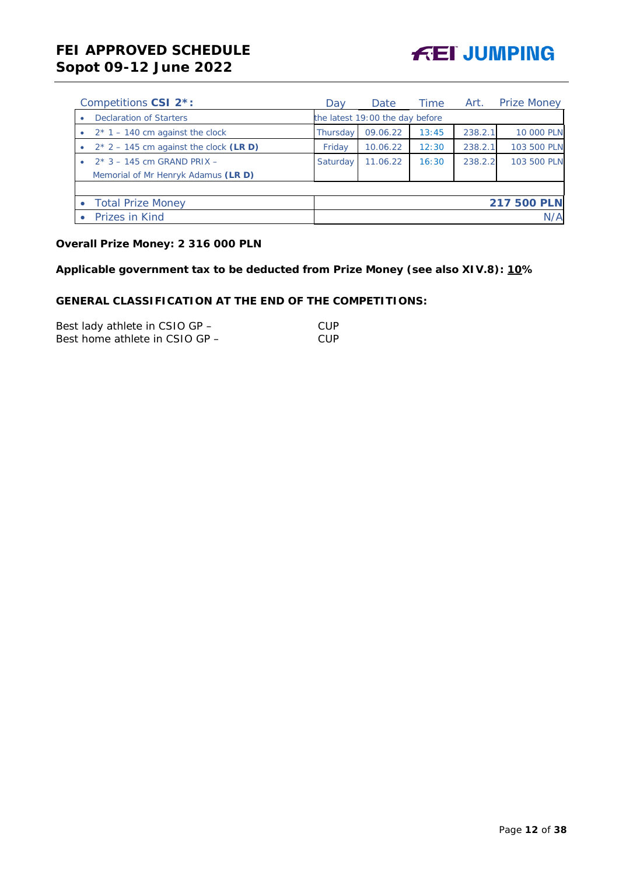

| Competitions CSI 2 <sup>*</sup> :          | Dav      | Date                            | Time  | Art.    | <b>Prize Money</b> |
|--------------------------------------------|----------|---------------------------------|-------|---------|--------------------|
| <b>Declaration of Starters</b><br>۰        |          | the latest 19:00 the day before |       |         |                    |
| $2*1 - 140$ cm against the clock           | Thursday | 09.06.22                        | 13:45 | 238.2.1 | 10 000 PLN         |
| $2*$ 2 – 145 cm against the clock (LR D)   | Friday   | 10.06.22                        | 12:30 | 238.2.1 | 103 500 PLN        |
| $2*3 - 145$ cm GRAND PRIX $-$<br>$\bullet$ | Saturday | 11.06.22                        | 16:30 | 238.2.2 | 103 500 PLN        |
| Memorial of Mr Henryk Adamus (LR D)        |          |                                 |       |         |                    |
|                                            |          |                                 |       |         |                    |
| <b>Total Prize Money</b><br>$\bullet$      |          |                                 |       |         | <b>217 500 PLN</b> |
| Prizes in Kind                             |          |                                 |       |         | N/A                |

## **Overall Prize Money: 2 316 000 PLN**

**Applicable government tax to be deducted from Prize Money (see also XIV.8): 10%**

### **GENERAL CLASSIFICATION AT THE END OF THE COMPETITIONS:**

| Best lady athlete in CSIO GP - | CUP  |
|--------------------------------|------|
| Best home athlete in CSIO GP - | -CUP |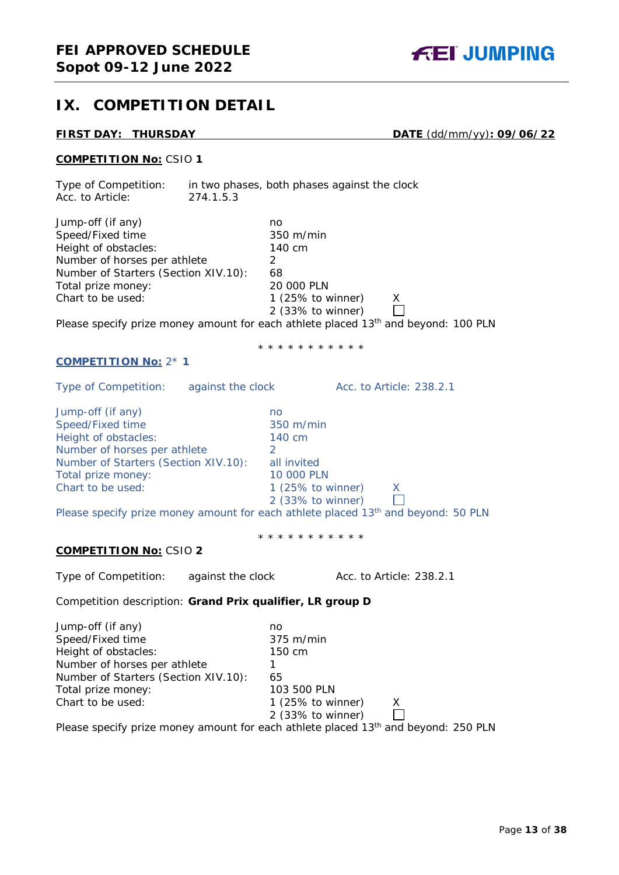## <span id="page-12-0"></span>**IX. COMPETITION DETAIL**

**FIRST DAY: THURSDAY DATE** (dd/mm/yy)**: 09/06/22**

#### **COMPETITION No:** CSIO **1**

Type of Competition: in two phases, both phases against the clock Acc. to Article: 274.1.5.3

| Jump-off (if any)                                                             | no                           |   |
|-------------------------------------------------------------------------------|------------------------------|---|
| Speed/Fixed time                                                              | $350 \text{ m/min}$          |   |
| Height of obstacles:                                                          | 140 cm                       |   |
| Number of horses per athlete                                                  |                              |   |
| Number of Starters (Section XIV.10):                                          | 68                           |   |
| Total prize money:                                                            | 20 000 PLN                   |   |
| Chart to be used:                                                             | 1 $(25\% \text{ to winner})$ | X |
|                                                                               | 2 (33% to winner)            |   |
| Dlogge speakings manau smaunt for each athlete placed 12th and bound. 100 DLN |                              |   |

Please specify prize money amount for each athlete placed  $13<sup>th</sup>$  and beyond: 100 PLN

#### **COMPETITION No:** 2\* **1**

Type of Competition: against the clock Acc. to Article: 238.2.1

Jump-off (if any) no Speed/Fixed time 350 m/min Height of obstacles: 140 cm Number of horses per athlete 2 Number of Starters (Section XIV.10): all invited Total prize money: 10 000 PLN<br>
Chart to be used: 1 (25% to v

1 (25% to winner)  $X$ <br>2 (33% to winner)  $\Box$ 2 (33% to winner)

Please specify prize money amount for each athlete placed 13<sup>th</sup> and beyond: 50 PLN

\* \* \* \* \* \* \* \* \* \* \*

\* \* \* \* \* \* \* \* \* \* \*

#### **COMPETITION No:** CSIO **2**

Type of Competition: against the clock Acc. to Article: 238.2.1

Competition description: **Grand Prix qualifier, LR group D**

| Jump-off (if any)                    | no                                                                                             |
|--------------------------------------|------------------------------------------------------------------------------------------------|
| Speed/Fixed time                     | $375 \text{ m/min}$                                                                            |
| Height of obstacles:                 | 150 cm                                                                                         |
| Number of horses per athlete         |                                                                                                |
| Number of Starters (Section XIV.10): | 65                                                                                             |
| Total prize money:                   | 103 500 PLN                                                                                    |
| Chart to be used:                    | 1 $(25\%$ to winner)<br>X                                                                      |
|                                      | 2 (33% to winner)                                                                              |
|                                      | Please specify prize money amount for each athlete placed 13 <sup>th</sup> and beyond: 250 PLN |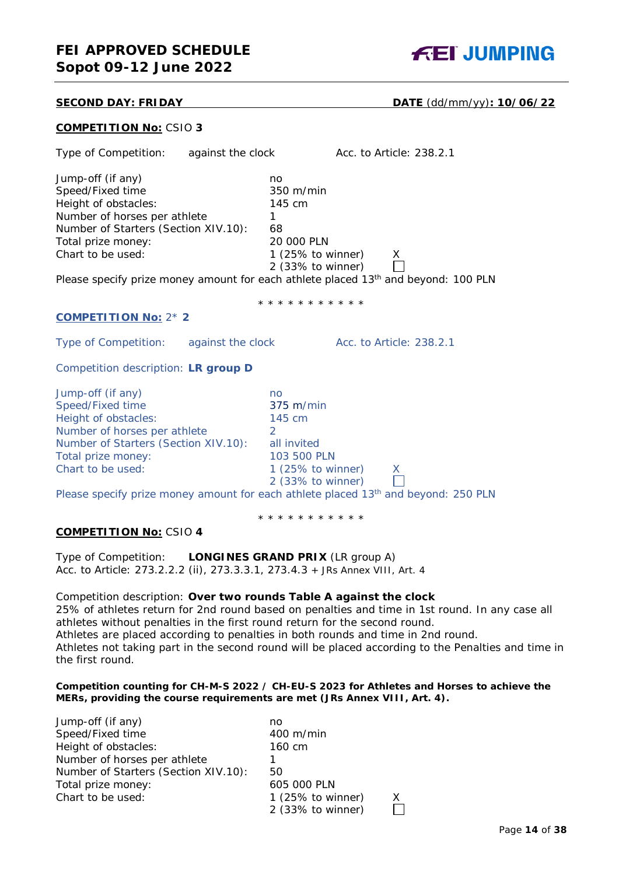## **FEI APPROVED SCHEDULE Sopot 09-12 June 2022**



#### **SECOND DAY: FRIDAY DATE** (dd/mm/yy)**: 10/06/22**

|  | <b>COMPETITION No: CSIO 3</b> |  |
|--|-------------------------------|--|
|  |                               |  |

| Type of Competition: against the clock                                                                                                                                           | Acc. to Article: 238.2.1                                                                                                                                                                                                               |
|----------------------------------------------------------------------------------------------------------------------------------------------------------------------------------|----------------------------------------------------------------------------------------------------------------------------------------------------------------------------------------------------------------------------------------|
| Jump-off (if any)<br>Speed/Fixed time<br>Height of obstacles:<br>Number of horses per athlete<br>Number of Starters (Section XIV.10):<br>Total prize money:<br>Chart to be used: | no<br>350 m/min<br>145 cm<br>1<br>68<br>20 000 PLN<br>1 $(25\% \text{ to winner})$<br>X<br>2 (33% to winner)<br>Please specify prize money amount for each athlete placed 13 <sup>th</sup> and beyond: 100 PLN                         |
|                                                                                                                                                                                  | * * * * * * * * * * *                                                                                                                                                                                                                  |
| <b>COMPETITION No: 2* 2</b>                                                                                                                                                      |                                                                                                                                                                                                                                        |
| Type of Competition: against the clock                                                                                                                                           | Acc. to Article: 238.2.1                                                                                                                                                                                                               |
| Competition description: LR group D                                                                                                                                              |                                                                                                                                                                                                                                        |
| Jump-off (if any)<br>Speed/Fixed time<br>Height of obstacles:<br>Number of horses per athlete<br>Number of Starters (Section XIV.10):<br>Total prize money:<br>Chart to be used: | no<br>375 m/min<br>145 cm<br>$\overline{2}$<br>all invited<br>103 500 PLN<br>1 $(25\% \text{ to winner})$<br>X.<br>2 (33% to winner)<br>Please specify prize money amount for each athlete placed 13 <sup>th</sup> and beyond: 250 PLN |
|                                                                                                                                                                                  | * * * * * * * * * * *                                                                                                                                                                                                                  |
| <b>COMPETITION No: CSIO 4</b>                                                                                                                                                    |                                                                                                                                                                                                                                        |
| Type of Competition:<br>Acc. to Article: 273.2.2.2 (ii), 273.3.3.1, 273.4.3 + JRs Annex VIII, Art. 4                                                                             | <b>LONGINES GRAND PRIX (LR group A)</b>                                                                                                                                                                                                |
| Competition description: Over two rounds Table A against the clock                                                                                                               | 250/ of athletes return for 2nd round becod on penelties and time in 1st round. In any                                                                                                                                                 |

25% of athletes return for 2nd round based on penalties and time in 1st round. In any case all athletes without penalties in the first round return for the second round. Athletes are placed according to penalties in both rounds and time in 2nd round. Athletes not taking part in the second round will be placed according to the Penalties and time in the first round.

#### *Competition counting for CH-M-S 2022 / CH-EU-S 2023 for Athletes and Horses to achieve the MERs, providing the course requirements are met (JRs Annex VIII, Art. 4).*

| Jump-off (if any)                    | no                           |  |
|--------------------------------------|------------------------------|--|
| Speed/Fixed time                     | $400 \text{ m/min}$          |  |
| Height of obstacles:                 | 160 cm                       |  |
| Number of horses per athlete         |                              |  |
| Number of Starters (Section XIV.10): | 50                           |  |
| Total prize money:                   | 605 000 PLN                  |  |
| Chart to be used:                    | 1 $(25\% \text{ to winner})$ |  |
|                                      | 2 (33% to winner)            |  |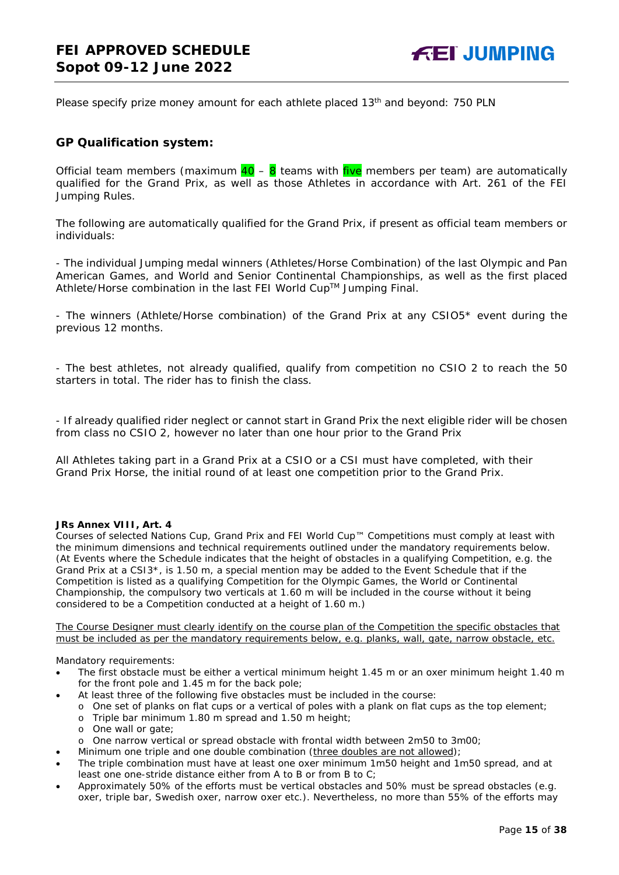Please specify prize money amount for each athlete placed  $13<sup>th</sup>$  and beyond: 750 PLN

#### **GP Qualification system:**

Official team members (maximum  $40 - 8$  teams with five members per team) are automatically qualified for the Grand Prix, as well as those Athletes in accordance with Art. 261 of the FEI Jumping Rules.

The following are automatically qualified for the Grand Prix, if present as official team members or individuals:

- The individual Jumping medal winners (Athletes/Horse Combination) of the last Olympic and Pan American Games, and World and Senior Continental Championships, as well as the first placed Athlete/Horse combination in the last FEI World Cup™ Jumping Final.

- The winners (Athlete/Horse combination) of the Grand Prix at any CSIO5\* event during the previous 12 months.

- The best athletes, not already qualified, qualify from competition no CSIO 2 to reach the 50 starters in total. The rider has to finish the class.

- If already qualified rider neglect or cannot start in Grand Prix the next eligible rider will be chosen from class no CSIO 2, however no later than one hour prior to the Grand Prix

All Athletes taking part in a Grand Prix at a CSIO or a CSI must have completed, with their Grand Prix Horse, the initial round of at least one competition prior to the Grand Prix.

#### *JRs Annex VIII, Art. 4*

*Courses of selected Nations Cup, Grand Prix and FEI World Cup™ Competitions must comply at least with the minimum dimensions and technical requirements outlined under the mandatory requirements below. (At Events where the Schedule indicates that the height of obstacles in a qualifying Competition, e.g. the Grand Prix at a CSI3\*, is 1.50 m, a special mention may be added to the Event Schedule that if the Competition is listed as a qualifying Competition for the Olympic Games, the World or Continental Championship, the compulsory two verticals at 1.60 m will be included in the course without it being considered to be a Competition conducted at a height of 1.60 m.)*

*The Course Designer must clearly identify on the course plan of the Competition the specific obstacles that must be included as per the mandatory requirements below, e.g. planks, wall, gate, narrow obstacle, etc.*

*Mandatory requirements:*

- *The first obstacle must be either a vertical minimum height 1.45 m or an oxer minimum height 1.40 m for the front pole and 1.45 m for the back pole;*
- *At least three of the following five obstacles must be included in the course:*
	- o *One set of planks on flat cups or a vertical of poles with a plank on flat cups as the top element;*
	- o *Triple bar minimum 1.80 m spread and 1.50 m height;*
	- o *One wall or gate;*
	- o *One narrow vertical or spread obstacle with frontal width between 2m50 to 3m00;*
- *Minimum one triple and one double combination (three doubles are not allowed);*
- *The triple combination must have at least one oxer minimum 1m50 height and 1m50 spread, and at least one one-stride distance either from A to B or from B to C;*
- *Approximately 50% of the efforts must be vertical obstacles and 50% must be spread obstacles (e.g. oxer, triple bar, Swedish oxer, narrow oxer etc.). Nevertheless, no more than 55% of the efforts may*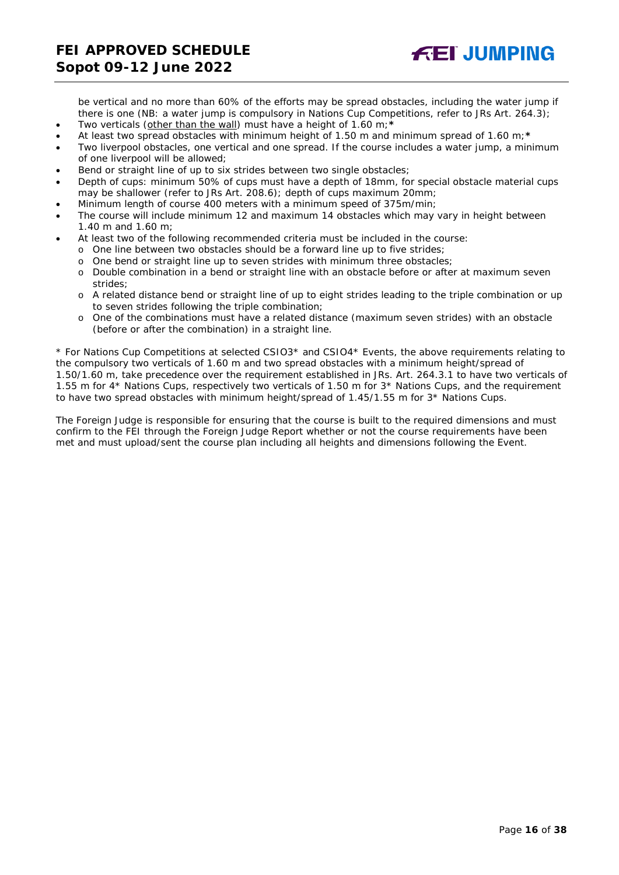

*be vertical and no more than 60% of the efforts may be spread obstacles, including the water jump if there is one (NB: a water jump is compulsory in Nations Cup Competitions, refer to JRs Art. 264.3);* • *Two verticals (other than the wall) must have a height of 1.60 m;\**

- *At least two spread obstacles with minimum height of 1.50 m and minimum spread of 1.60 m;\**
- *Two liverpool obstacles, one vertical and one spread. If the course includes a water jump, a minimum of one liverpool will be allowed;*
- *Bend or straight line of up to six strides between two single obstacles;*
- *Depth of cups: minimum 50% of cups must have a depth of 18mm, for special obstacle material cups may be shallower (refer to JRs Art. 208.6); depth of cups maximum 20mm;*
- *Minimum length of course 400 meters with a minimum speed of 375m/min;*
- *The course will include minimum 12 and maximum 14 obstacles which may vary in height between 1.40 m and 1.60 m;*
- *At least two of the following recommended criteria must be included in the course:*
	- o *One line between two obstacles should be a forward line up to five strides;*
	- o *One bend or straight line up to seven strides with minimum three obstacles;*
	- o *Double combination in a bend or straight line with an obstacle before or after at maximum seven strides;*
	- o *A related distance bend or straight line of up to eight strides leading to the triple combination or up to seven strides following the triple combination;*
	- o *One of the combinations must have a related distance (maximum seven strides) with an obstacle (before or after the combination) in a straight line.*

*\* For Nations Cup Competitions at selected CSIO3\* and CSIO4\* Events, the above requirements relating to the compulsory two verticals of 1.60 m and two spread obstacles with a minimum height/spread of 1.50/1.60 m, take precedence over the requirement established in JRs. Art. 264.3.1 to have two verticals of 1.55 m for 4\* Nations Cups, respectively two verticals of 1.50 m for 3\* Nations Cups, and the requirement to have two spread obstacles with minimum height/spread of 1.45/1.55 m for 3\* Nations Cups.*

*The Foreign Judge is responsible for ensuring that the course is built to the required dimensions and must confirm to the FEI through the Foreign Judge Report whether or not the course requirements have been met and must upload/sent the course plan including all heights and dimensions following the Event.*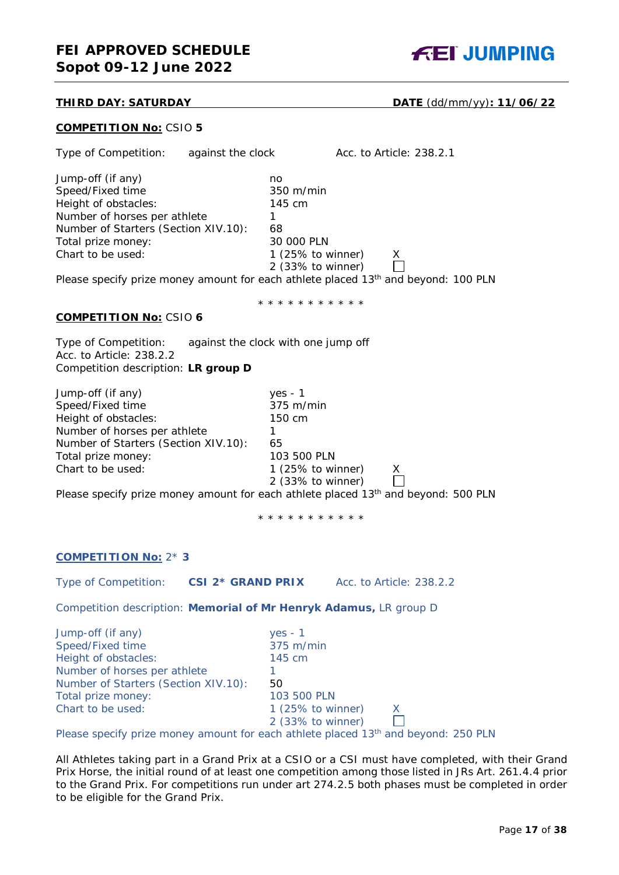

**THIRD DAY: SATURDAY DATE** (dd/mm/yy)**: 11/06/22**

#### **COMPETITION No:** CSIO **5**

| Type of Competition: against the clock                                                                                                                                           |                                                                                                                              | Acc. to Article: 238.2.1                                                                             |
|----------------------------------------------------------------------------------------------------------------------------------------------------------------------------------|------------------------------------------------------------------------------------------------------------------------------|------------------------------------------------------------------------------------------------------|
| Jump-off (if any)<br>Speed/Fixed time<br>Height of obstacles:<br>Number of horses per athlete<br>Number of Starters (Section XIV.10):<br>Total prize money:<br>Chart to be used: | no<br>350 m/min<br>145 cm<br>1.<br>68<br>30 000 PLN<br>1 $(25\% \text{ to winner})$<br>2 (33% to winner)                     | X.<br>Please specify prize money amount for each athlete placed 13 <sup>th</sup> and beyond: 100 PLN |
| <b>COMPETITION No: CSIO 6</b>                                                                                                                                                    | * * * * * * * * * * *                                                                                                        |                                                                                                      |
| Type of Competition:<br>Acc. to Article: 238.2.2<br>Competition description: LR group D                                                                                          | against the clock with one jump off                                                                                          |                                                                                                      |
| Jump-off (if any)<br>Speed/Fixed time<br>Height of obstacles:<br>Number of horses per athlete<br>Number of Starters (Section XIV.10):<br>Total prize money:<br>Chart to be used: | $yes - 1$<br>375 m/min<br>150 cm<br>$\mathbf{1}$<br>65<br>103 500 PLN<br>1 $(25\% \text{ to winner})$<br>$2$ (33% to winner) | X<br>Please specify prize money amount for each athlete placed 13 <sup>th</sup> and beyond: 500 PLN  |
|                                                                                                                                                                                  | * * * * * * * * * * *                                                                                                        |                                                                                                      |
| <b>COMPETITION No: 2*3</b>                                                                                                                                                       |                                                                                                                              |                                                                                                      |
| Type of Competition:                                                                                                                                                             | <b>CSI 2* GRAND PRIX</b>                                                                                                     | Acc. to Article: 238.2.2                                                                             |
| Competition description: Memorial of Mr Henryk Adamus, LR group D                                                                                                                |                                                                                                                              |                                                                                                      |
| Jump-off (if any)<br>Speed/Fixed time<br>Height of obstacles:<br>Number of horses per athlete<br>Number of Starters (Section XIV.10):<br>Total prize money:<br>Chart to be used: | $yes - 1$<br>375 m/min<br>145 cm<br>1<br>50<br>103 500 PLN<br>1 $(25\% \text{ to winner})$<br>2 (33% to winner)              | х                                                                                                    |

Please specify prize money amount for each athlete placed 13<sup>th</sup> and beyond: 250 PLN

All Athletes taking part in a Grand Prix at a CSIO or a CSI must have completed, with their Grand Prix Horse, the initial round of at least one competition among those listed in JRs Art. 261.4.4 prior to the Grand Prix. For competitions run under art 274.2.5 both phases must be completed in order to be eligible for the Grand Prix.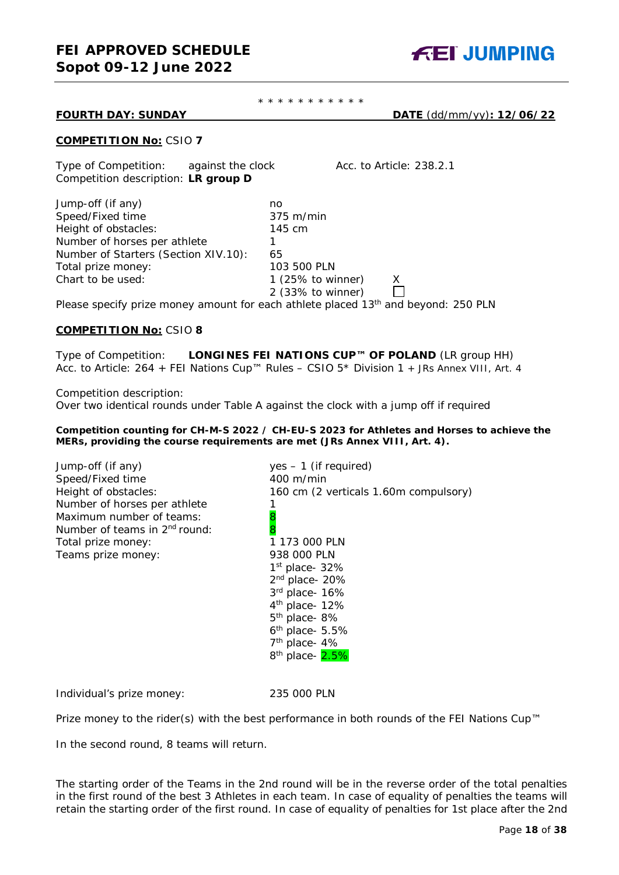

#### \* \* \* \* \* \* \* \* \* \* \*

**FOURTH DAY: SUNDAY DATE** (dd/mm/yy)**: 12/06/22**

#### **COMPETITION No:** CSIO **7**

Type of Competition: against the clock Acc. to Article: 238.2.1 Competition description: **LR group D**

| Jump-off (if any)                                                                                                                                                                                                              | no                           |   |  |
|--------------------------------------------------------------------------------------------------------------------------------------------------------------------------------------------------------------------------------|------------------------------|---|--|
| Speed/Fixed time                                                                                                                                                                                                               | $375 \text{ m/min}$          |   |  |
| Height of obstacles:                                                                                                                                                                                                           | 145 cm                       |   |  |
| Number of horses per athlete                                                                                                                                                                                                   |                              |   |  |
| Number of Starters (Section XIV.10):                                                                                                                                                                                           | 65                           |   |  |
| Total prize money:                                                                                                                                                                                                             | 103 500 PLN                  |   |  |
| Chart to be used:                                                                                                                                                                                                              | 1 $(25\% \text{ to winner})$ | X |  |
|                                                                                                                                                                                                                                | 2 (33% to winner)            |   |  |
| Note that the state of the contract of the state of the state of the state of the state of the State of the State of the State of the State of the State of the State of the State of the State of the State of the State of t |                              |   |  |

Please specify prize money amount for each athlete placed  $13<sup>th</sup>$  and beyond: 250 PLN

#### **COMPETITION No:** CSIO **8**

Type of Competition: **LONGINES FEI NATIONS CUP™ OF POLAND** (LR group HH) Acc. to Article: 264 + FEI Nations Cup™ Rules – CSIO 5\* Division 1 *+ JRs Annex VIII, Art. 4*

Competition description:

Over two identical rounds under Table A against the clock with a jump off if required

#### *Competition counting for CH-M-S 2022 / CH-EU-S 2023 for Athletes and Horses to achieve the MERs, providing the course requirements are met (JRs Annex VIII, Art. 4).*

| Jump-off (if any)                         | $yes - 1$ (if required)               |
|-------------------------------------------|---------------------------------------|
| Speed/Fixed time                          | $400 \text{ m/min}$                   |
| Height of obstacles:                      | 160 cm (2 verticals 1.60m compulsory) |
| Number of horses per athlete              |                                       |
| Maximum number of teams:                  | 8                                     |
| Number of teams in 2 <sup>nd</sup> round: | 8                                     |
| Total prize money:                        | 1 173 000 PLN                         |
| Teams prize money:                        | 938 000 PLN                           |
|                                           | $1st$ place- 32%                      |
|                                           | $2nd$ place- 20%                      |
|                                           | 3rd place- 16%                        |
|                                           | $4th$ place- 12%                      |
|                                           | $5th$ place-8%                        |
|                                           | $6th$ place- 5.5%                     |
|                                           | $7th$ place- 4%                       |
|                                           | 8 <sup>th</sup> place- 2.5%           |
|                                           |                                       |

Individual's prize money: 235 000 PLN

Prize money to the rider(s) with the best performance in both rounds of the FEI Nations Cup™

In the second round, 8 teams will return.

The starting order of the Teams in the 2nd round will be in the reverse order of the total penalties in the first round of the best 3 Athletes in each team. In case of equality of penalties the teams will retain the starting order of the first round. In case of equality of penalties for 1st place after the 2nd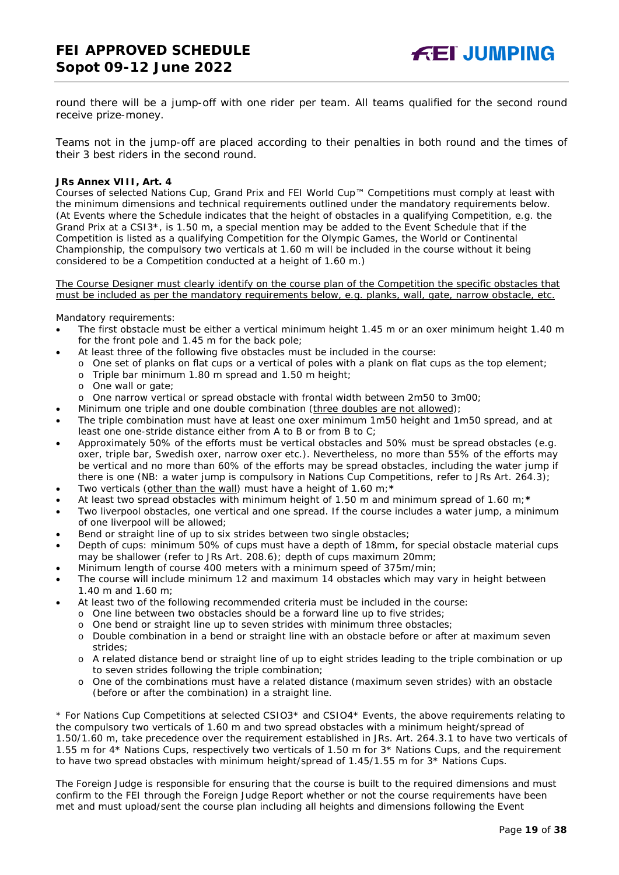round there will be a jump-off with one rider per team. All teams qualified for the second round receive prize-money.

Teams not in the jump-off are placed according to their penalties in both round and the times of their 3 best riders in the second round.

#### *JRs Annex VIII, Art. 4*

*Courses of selected Nations Cup, Grand Prix and FEI World Cup™ Competitions must comply at least with the minimum dimensions and technical requirements outlined under the mandatory requirements below. (At Events where the Schedule indicates that the height of obstacles in a qualifying Competition, e.g. the Grand Prix at a CSI3\*, is 1.50 m, a special mention may be added to the Event Schedule that if the Competition is listed as a qualifying Competition for the Olympic Games, the World or Continental Championship, the compulsory two verticals at 1.60 m will be included in the course without it being considered to be a Competition conducted at a height of 1.60 m.)*

*The Course Designer must clearly identify on the course plan of the Competition the specific obstacles that must be included as per the mandatory requirements below, e.g. planks, wall, gate, narrow obstacle, etc.*

#### *Mandatory requirements:*

- *The first obstacle must be either a vertical minimum height 1.45 m or an oxer minimum height 1.40 m for the front pole and 1.45 m for the back pole;*
	- *At least three of the following five obstacles must be included in the course:*
		- o *One set of planks on flat cups or a vertical of poles with a plank on flat cups as the top element;*
		- o *Triple bar minimum 1.80 m spread and 1.50 m height;*
		- o *One wall or gate;*
	- o *One narrow vertical or spread obstacle with frontal width between 2m50 to 3m00;*
- *Minimum one triple and one double combination (three doubles are not allowed);*
- *The triple combination must have at least one oxer minimum 1m50 height and 1m50 spread, and at least one one-stride distance either from A to B or from B to C;*
- *Approximately 50% of the efforts must be vertical obstacles and 50% must be spread obstacles (e.g. oxer, triple bar, Swedish oxer, narrow oxer etc.). Nevertheless, no more than 55% of the efforts may be vertical and no more than 60% of the efforts may be spread obstacles, including the water jump if there is one (NB: a water jump is compulsory in Nations Cup Competitions, refer to JRs Art. 264.3);*
- *Two verticals (other than the wall) must have a height of 1.60 m;\**
- *At least two spread obstacles with minimum height of 1.50 m and minimum spread of 1.60 m;\**
- *Two liverpool obstacles, one vertical and one spread. If the course includes a water jump, a minimum of one liverpool will be allowed;*
- *Bend or straight line of up to six strides between two single obstacles;*
- *Depth of cups: minimum 50% of cups must have a depth of 18mm, for special obstacle material cups may be shallower (refer to JRs Art. 208.6); depth of cups maximum 20mm;*
- *Minimum length of course 400 meters with a minimum speed of 375m/min;*
- *The course will include minimum 12 and maximum 14 obstacles which may vary in height between 1.40 m and 1.60 m;*
- *At least two of the following recommended criteria must be included in the course:*
	- o *One line between two obstacles should be a forward line up to five strides;*
	- o *One bend or straight line up to seven strides with minimum three obstacles;*
	- o *Double combination in a bend or straight line with an obstacle before or after at maximum seven strides;*
	- o *A related distance bend or straight line of up to eight strides leading to the triple combination or up to seven strides following the triple combination;*
	- o *One of the combinations must have a related distance (maximum seven strides) with an obstacle (before or after the combination) in a straight line.*

*\* For Nations Cup Competitions at selected CSIO3\* and CSIO4\* Events, the above requirements relating to the compulsory two verticals of 1.60 m and two spread obstacles with a minimum height/spread of 1.50/1.60 m, take precedence over the requirement established in JRs. Art. 264.3.1 to have two verticals of 1.55 m for 4\* Nations Cups, respectively two verticals of 1.50 m for 3\* Nations Cups, and the requirement to have two spread obstacles with minimum height/spread of 1.45/1.55 m for 3\* Nations Cups.*

*The Foreign Judge is responsible for ensuring that the course is built to the required dimensions and must confirm to the FEI through the Foreign Judge Report whether or not the course requirements have been met and must upload/sent the course plan including all heights and dimensions following the Event*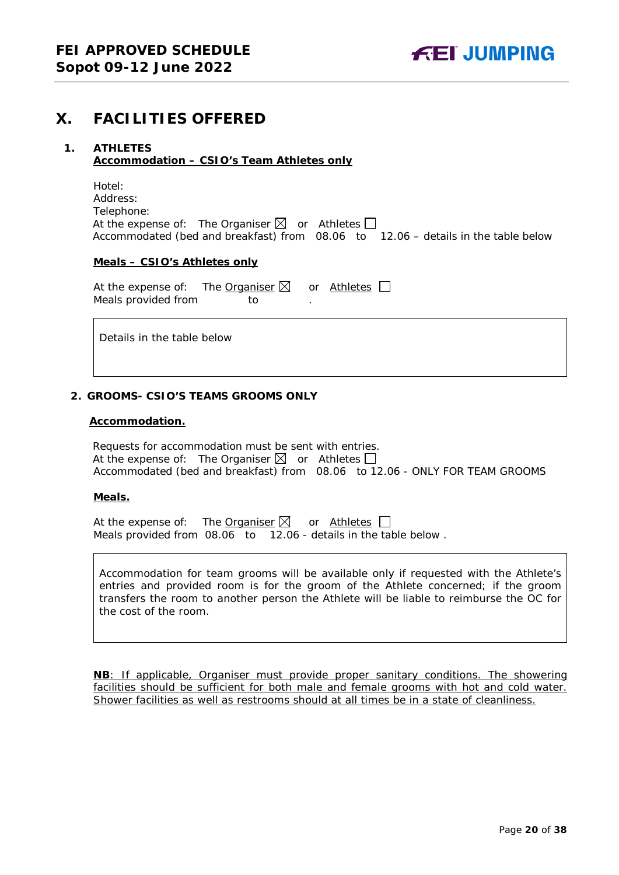## <span id="page-19-0"></span>**X. FACILITIES OFFERED**

#### <span id="page-19-1"></span>**1. ATHLETES Accommodation – CSIO's Team Athletes only**

| Hotel:                                                          |  |                                                                                   |
|-----------------------------------------------------------------|--|-----------------------------------------------------------------------------------|
| Address:                                                        |  |                                                                                   |
| Telephone:                                                      |  |                                                                                   |
| At the expense of: The Organiser $\boxtimes$ or Athletes $\Box$ |  |                                                                                   |
|                                                                 |  | Accommodated (bed and breakfast) from 08.06 to 12.06 - details in the table below |

#### **Meals – CSIO's Athletes only**

At the expense of: The Organiser  $\boxtimes$  or Athletes  $\Box$ Meals provided from to

Details in the table below

#### <span id="page-19-2"></span>**2. GROOMS- CSIO'S TEAMS GROOMS ONLY**

#### **Accommodation.**

Requests for accommodation must be sent with entries. At the expense of: The Organiser  $\boxtimes$  or Athletes  $\Box$ Accommodated (bed and breakfast) from 08.06 to 12.06 - ONLY FOR TEAM GROOMS

#### **Meals.**

At the expense of: The Organiser  $\boxtimes$  or Athletes  $\Box$ Meals provided from 08.06 to 12.06 - details in the table below .

Accommodation for team grooms will be available only if requested with the Athlete's entries and provided room is for the groom of the Athlete concerned; if the groom transfers the room to another person the Athlete will be liable to reimburse the OC for the cost of the room.

**NB**: If applicable, Organiser must provide proper sanitary conditions. The showering facilities should be sufficient for both male and female grooms with hot and cold water. Shower facilities as well as restrooms should at all times be in a state of cleanliness.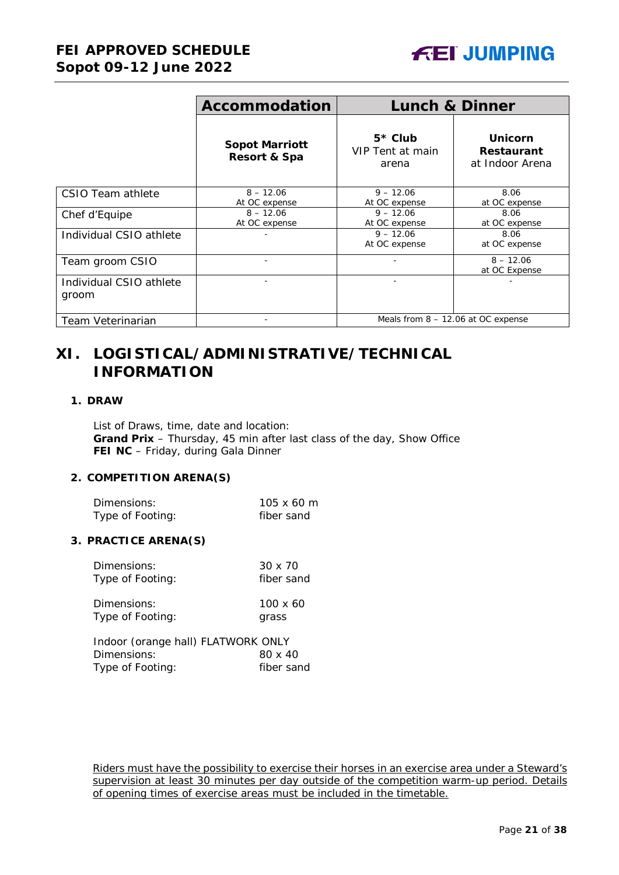

|                                  | <b>Accommodation</b>                  | <b>Lunch &amp; Dinner</b>              |                                                        |
|----------------------------------|---------------------------------------|----------------------------------------|--------------------------------------------------------|
|                                  | <b>Sopot Marriott</b><br>Resort & Spa | $5*$ Club<br>VIP Tent at main<br>arena | <b>Unicorn</b><br><b>Restaurant</b><br>at Indoor Arena |
| CSIO Team athlete                | $8 - 12.06$<br>At OC expense          | $9 - 12.06$<br>At OC expense           | 8.06<br>at OC expense                                  |
| Chef d'Equipe                    | $8 - 12.06$<br>At OC expense          | $9 - 12.06$<br>At OC expense           | 8.06<br>at OC expense                                  |
| Individual CSIO athlete          |                                       | $9 - 12.06$<br>At OC expense           | 8.06<br>at OC expense                                  |
| Team groom CSIO                  |                                       |                                        | $8 - 12.06$<br>at OC Expense                           |
| Individual CSIO athlete<br>groom |                                       |                                        |                                                        |
| Team Veterinarian                |                                       | Meals from $8 - 12.06$ at OC expense   |                                                        |

## <span id="page-20-0"></span>**XI. LOGISTICAL/ADMINISTRATIVE/TECHNICAL INFORMATION**

#### <span id="page-20-1"></span>**1. DRAW**

List of Draws, time, date and location: **Grand Prix** – Thursday, 45 min after last class of the day, Show Office **FEI NC** – Friday, during Gala Dinner

#### <span id="page-20-2"></span>**2. COMPETITION ARENA(S)**

| Dimensions:      | $105 \times 60 \text{ m}$ |
|------------------|---------------------------|
| Type of Footing: | fiber sand                |

#### <span id="page-20-3"></span>**3. PRACTICE ARENA(S)**

| Dimensions:                                            | $30 \times 70$ |
|--------------------------------------------------------|----------------|
| Type of Footing:                                       | fiber sand     |
| Distant and a series of the local contract of the U.S. | 10010          |

| Dimensions:      | 100 x 60 |
|------------------|----------|
| Type of Footing: | grass    |

Indoor (orange hall) FLATWORK ONLY Dimensions: 80 x 40<br>Type of Footing: fiber sand Type of Footing:

Riders must have the possibility to exercise their horses in an exercise area under a Steward's supervision at least 30 minutes per day outside of the competition warm-up period. Details of opening times of exercise areas must be included in the timetable.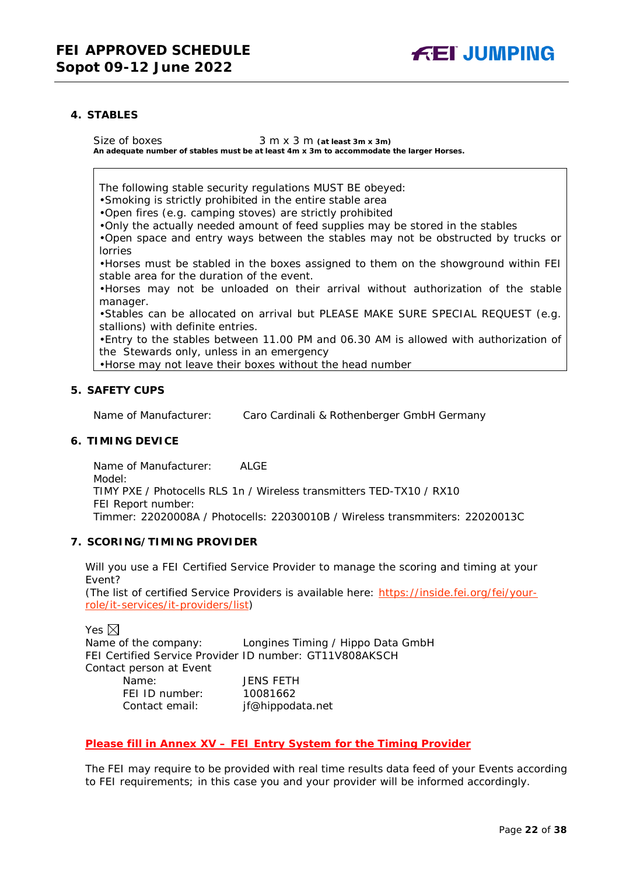

#### <span id="page-21-0"></span>**4. STABLES**

Size of boxes 3 m x 3 m (at least 3m x 3m) **An adequate number of stables must be at least 4m x 3m to accommodate the larger Horses.**

The following stable security regulations MUST BE obeyed:

•Smoking is strictly prohibited in the entire stable area

•Open fires (e.g. camping stoves) are strictly prohibited

•Only the actually needed amount of feed supplies may be stored in the stables

•Open space and entry ways between the stables may not be obstructed by trucks or lorries

•Horses must be stabled in the boxes assigned to them on the showground within FEI stable area for the duration of the event.

•Horses may not be unloaded on their arrival without authorization of the stable manager.

•Stables can be allocated on arrival but PLEASE MAKE SURE SPECIAL REQUEST (e.g. stallions) with definite entries.

•Entry to the stables between 11.00 PM and 06.30 AM is allowed with authorization of the Stewards only, unless in an emergency

•Horse may not leave their boxes without the head number

#### <span id="page-21-1"></span>**5. SAFETY CUPS**

Name of Manufacturer: Caro Cardinali & Rothenberger GmbH Germany

#### <span id="page-21-2"></span>**6. TIMING DEVICE**

Name of Manufacturer: ALGE Model: TIMY PXE / Photocells RLS 1n / Wireless transmitters TED-TX10 / RX10 FEI Report number: Timmer: 22020008A / Photocells: 22030010B / Wireless transmmiters: 22020013C

#### <span id="page-21-3"></span>**7. SCORING/TIMING PROVIDER**

Will you use a FEI Certified Service Provider to manage the scoring and timing at your Event?

*(The list of certified Service Providers is available here:* [https://inside.fei.org/fei/your](https://inside.fei.org/fei/your-role/it-services/it-providers/list)[role/it-services/it-providers/list](https://inside.fei.org/fei/your-role/it-services/it-providers/list)*)*

#### Yes  $\boxtimes$

Name of the company: Longines Timing / Hippo Data GmbH FEI Certified Service Provider ID number: GT11V808AKSCH Contact person at Event Name: JENS FETH FEI ID number: 10081662 Contact email: *jf@hippodata.net*

#### *Please fill in Annex XV – FEI Entry System for the Timing Provider*

The FEI may require to be provided with real time results data feed of your Events according to FEI requirements; in this case you and your provider will be informed accordingly.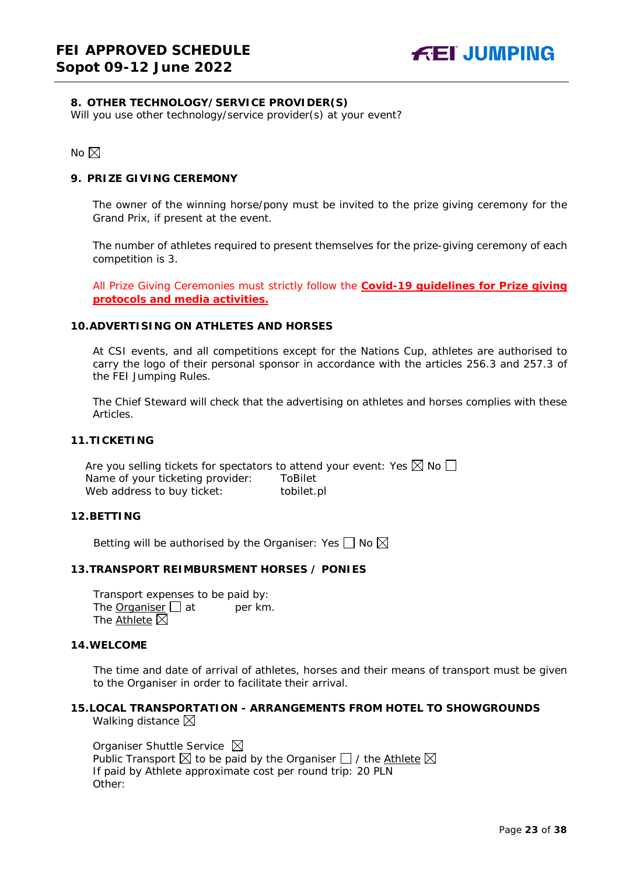#### <span id="page-22-0"></span>**8. OTHER TECHNOLOGY/SERVICE PROVIDER(S)**

Will you use other technology/service provider(s) at your event?

No  $\boxtimes$ 

#### <span id="page-22-1"></span>**9. PRIZE GIVING CEREMONY**

The owner of the winning horse/pony must be invited to the prize giving ceremony for the Grand Prix, if present at the event.

The number of athletes required to present themselves for the prize-giving ceremony of each competition is 3.

All Prize Giving Ceremonies must strictly follow the **Covid-19 guidelines for Prize giving protocols and media activities.**

#### <span id="page-22-2"></span>**10.ADVERTISING ON ATHLETES AND HORSES**

At CSI events, and all competitions except for the Nations Cup, athletes are authorised to carry the logo of their personal sponsor in accordance with the articles 256.3 and 257.3 of the FEI Jumping Rules.

The Chief Steward will check that the advertising on athletes and horses complies with these Articles.

#### <span id="page-22-3"></span>**11.TICKETING**

Are you selling tickets for spectators to attend your event: Yes  $\boxtimes$  No  $\Box$ Name of your ticketing provider: ToBilet Web address to buy ticket: tobilet.pl

#### <span id="page-22-4"></span>**12.BETTING**

Betting will be authorised by the Organiser: Yes  $\Box$  No  $\boxtimes$ 

#### <span id="page-22-5"></span>**13.TRANSPORT REIMBURSMENT HORSES / PONIES**

Transport expenses to be paid by: The **Organiser**  $\Box$  at per km. The Athlete  $\boxtimes$ 

#### <span id="page-22-6"></span>**14.WELCOME**

The time and date of arrival of athletes, horses and their means of transport must be given to the Organiser in order to facilitate their arrival.

#### <span id="page-22-7"></span>**15.LOCAL TRANSPORTATION - ARRANGEMENTS FROM HOTEL TO SHOWGROUNDS** Walking distance  $\boxtimes$

Organiser Shuttle Service  $\boxtimes$ Public Transport  $\boxtimes$  to be paid by the Organiser  $\Box$  / the Athlete  $\boxtimes$ If paid by Athlete approximate cost per round trip: 20 PLN Other: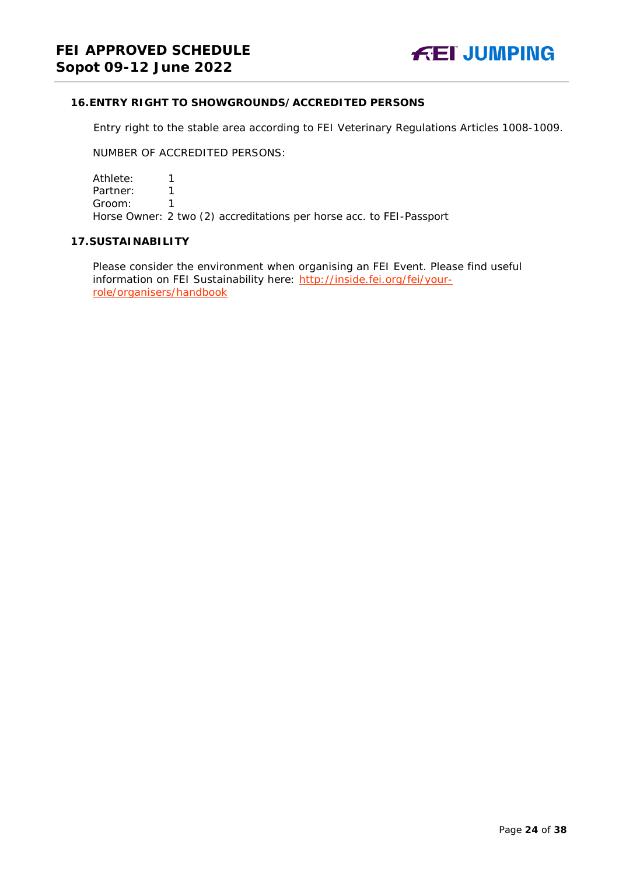#### <span id="page-23-0"></span>**16.ENTRY RIGHT TO SHOWGROUNDS/ACCREDITED PERSONS**

Entry right to the stable area according to FEI Veterinary Regulations Articles 1008-1009.

NUMBER OF ACCREDITED PERSONS:

Athlete: 1<br>Partner: 1 Partner: 1<br>Groom: 1 Groom: 1 Horse Owner: 2 two (2) accreditations per horse acc. to FEI-Passport

#### <span id="page-23-1"></span>**17.SUSTAINABILITY**

Please consider the environment when organising an FEI Event. Please find useful information on FEI Sustainability here: [http://inside.fei.org/fei/your](http://inside.fei.org/fei/your-role/organisers/handbook)[role/organisers/handbook](http://inside.fei.org/fei/your-role/organisers/handbook)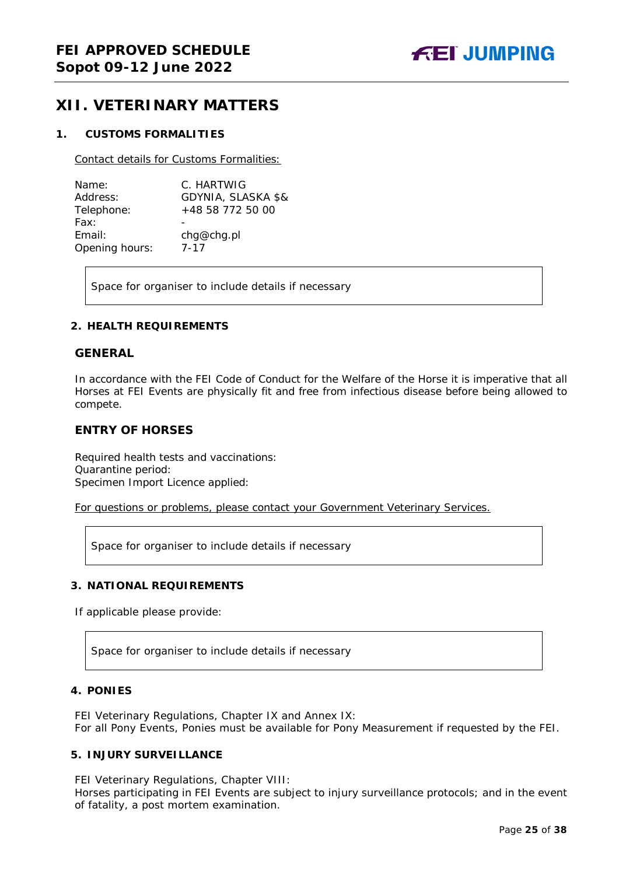## <span id="page-24-0"></span>**XII. VETERINARY MATTERS**

#### <span id="page-24-1"></span>**1. CUSTOMS FORMALITIES**

Contact details for Customs Formalities:

| Name:          | C. HARTWIG         |
|----------------|--------------------|
| Address:       | GDYNIA, SLASKA \$& |
| Telephone:     | +48 58 772 50 00   |
| Fax:           |                    |
| Email:         | chg@chg.pl         |
| Opening hours: | 7-17               |

Space for organiser to include details if necessary

#### <span id="page-24-2"></span>**2. HEALTH REQUIREMENTS**

#### **GENERAL**

In accordance with the FEI Code of Conduct for the Welfare of the Horse it is imperative that all Horses at FEI Events are physically fit and free from infectious disease before being allowed to compete.

#### **ENTRY OF HORSES**

Required health tests and vaccinations: Quarantine period: Specimen Import Licence applied:

For questions or problems, please contact your Government Veterinary Services.

Space for organiser to include details if necessary

#### <span id="page-24-3"></span>**3. NATIONAL REQUIREMENTS**

If applicable please provide:

Space for organiser to include details if necessary

#### <span id="page-24-4"></span>**4. PONIES**

FEI Veterinary Regulations, Chapter IX and Annex IX: For all Pony Events, Ponies must be available for Pony Measurement if requested by the FEI.

#### <span id="page-24-5"></span>**5. INJURY SURVEILLANCE**

FEI Veterinary Regulations, Chapter VIII:

Horses participating in FEI Events are subject to injury surveillance protocols; and in the event of fatality, a post mortem examination.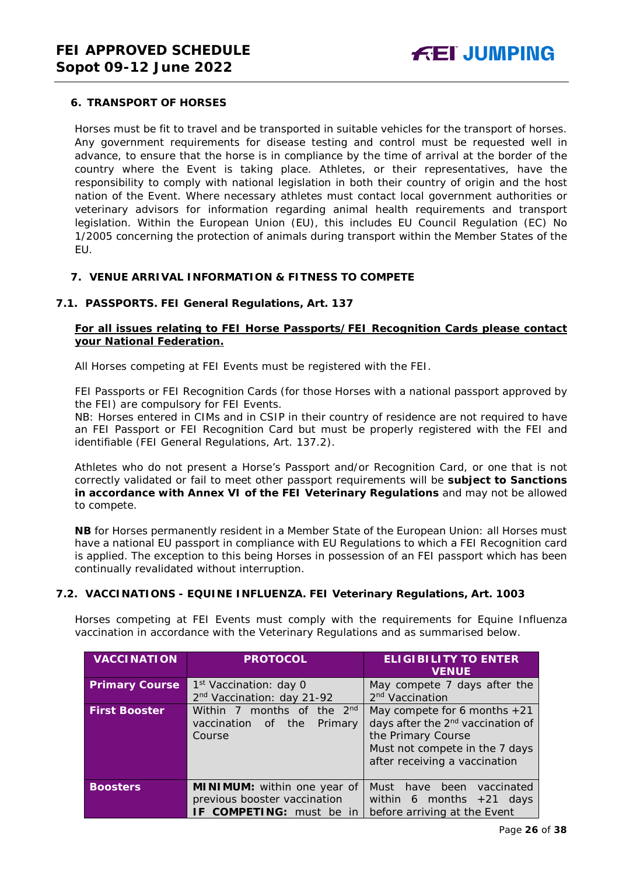#### <span id="page-25-0"></span>**6. TRANSPORT OF HORSES**

Horses must be fit to travel and be transported in suitable vehicles for the transport of horses. Any government requirements for disease testing and control must be requested well in advance, to ensure that the horse is in compliance by the time of arrival at the border of the country where the Event is taking place. Athletes, or their representatives, have the responsibility to comply with national legislation in both their country of origin and the host nation of the Event. Where necessary athletes must contact local government authorities or veterinary advisors for information regarding animal health requirements and transport legislation. Within the European Union (EU), this includes EU Council Regulation (EC) No 1/2005 concerning the protection of animals during transport within the Member States of the EU.

#### <span id="page-25-1"></span>**7. VENUE ARRIVAL INFORMATION & FITNESS TO COMPETE**

#### **7.1. PASSPORTS. FEI General Regulations, Art. 137**

#### **For all issues relating to FEI Horse Passports/FEI Recognition Cards please contact your National Federation.**

All Horses competing at FEI Events must be registered with the FEI.

FEI Passports or FEI Recognition Cards (for those Horses with a national passport approved by the FEI) are compulsory for FEI Events.

NB: Horses entered in CIMs and in CSIP in their country of residence are not required to have an FEI Passport or FEI Recognition Card but must be properly registered with the FEI and identifiable (FEI General Regulations, Art. 137.2).

Athletes who do not present a Horse's Passport and/or Recognition Card, or one that is not correctly validated or fail to meet other passport requirements will be **subject to Sanctions in accordance with Annex VI of the FEI Veterinary Regulations** and may not be allowed to compete.

**NB** for Horses permanently resident in a Member State of the European Union: all Horses must have a national EU passport in compliance with EU Regulations to which a FEI Recognition card is applied. The exception to this being Horses in possession of an FEI passport which has been continually revalidated without interruption.

#### **7.2. VACCINATIONS - EQUINE INFLUENZA. FEI Veterinary Regulations, Art. 1003**

Horses competing at FEI Events must comply with the requirements for Equine Influenza vaccination in accordance with the Veterinary Regulations and as summarised below.

| <b>VACCINATION</b>    | <b>PROTOCOL</b>                                                                         | <b>ELIGIBILITY TO ENTER</b><br><b>VENUE</b>                                                                                                                              |
|-----------------------|-----------------------------------------------------------------------------------------|--------------------------------------------------------------------------------------------------------------------------------------------------------------------------|
| <b>Primary Course</b> | 1 <sup>st</sup> Vaccination: day 0                                                      | May compete 7 days after the                                                                                                                                             |
|                       | 2 <sup>nd</sup> Vaccination: day 21-92                                                  | 2 <sup>nd</sup> Vaccination                                                                                                                                              |
| <b>First Booster</b>  | Within 7 months of the 2 <sup>nd</sup><br>vaccination<br>the<br>Primary<br>of<br>Course | May compete for 6 months $+21$<br>days after the 2 <sup>nd</sup> vaccination of<br>the Primary Course<br>Must not compete in the 7 days<br>after receiving a vaccination |
| <b>Boosters</b>       | MINIMUM: within one year of<br>previous booster vaccination<br>IF COMPETING: must be in | been<br>Must<br>vaccinated<br>have<br>within 6 months $+21$ days<br>before arriving at the Event                                                                         |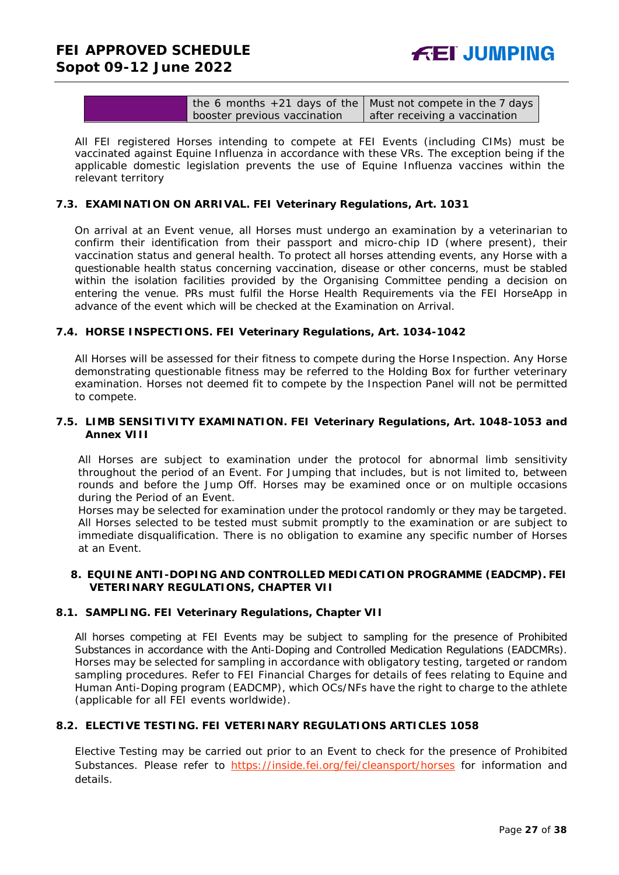| the 6 months $+21$ days of the   Must not compete in the 7 days |                               |
|-----------------------------------------------------------------|-------------------------------|
| booster previous vaccination                                    | after receiving a vaccination |

All FEI registered Horses intending to compete at FEI Events (including CIMs) must be vaccinated against Equine Influenza in accordance with these VRs. The exception being if the applicable domestic legislation prevents the use of Equine Influenza vaccines within the relevant territory

#### **7.3. EXAMINATION ON ARRIVAL. FEI Veterinary Regulations, Art. 1031**

On arrival at an Event venue, all Horses must undergo an examination by a veterinarian to confirm their identification from their passport and micro-chip ID (where present), their vaccination status and general health. To protect all horses attending events, any Horse with a questionable health status concerning vaccination, disease or other concerns, must be stabled within the isolation facilities provided by the Organising Committee pending a decision on entering the venue. PRs must fulfil the Horse Health Requirements via the FEI HorseApp in advance of the event which will be checked at the Examination on Arrival.

#### **7.4. HORSE INSPECTIONS. FEI Veterinary Regulations, Art. 1034-1042**

All Horses will be assessed for their fitness to compete during the Horse Inspection. Any Horse demonstrating questionable fitness may be referred to the Holding Box for further veterinary examination. Horses not deemed fit to compete by the Inspection Panel will not be permitted to compete.

#### **7.5. LIMB SENSITIVITY EXAMINATION. FEI Veterinary Regulations, Art. 1048-1053 and Annex VIII**

All Horses are subject to examination under the protocol for abnormal limb sensitivity throughout the period of an Event. For Jumping that includes, but is not limited to, between rounds and before the Jump Off. Horses may be examined once or on multiple occasions during the Period of an Event.

Horses may be selected for examination under the protocol randomly or they may be targeted. All Horses selected to be tested must submit promptly to the examination or are subject to immediate disqualification. There is no obligation to examine any specific number of Horses at an Event.

#### <span id="page-26-0"></span>**8. EQUINE ANTI-DOPING AND CONTROLLED MEDICATION PROGRAMME (EADCMP). FEI VETERINARY REGULATIONS, CHAPTER VII**

#### **8.1. SAMPLING. FEI Veterinary Regulations, Chapter VII**

All horses competing at FEI Events may be subject to sampling for the presence of Prohibited Substances in accordance with the Anti-Doping and Controlled Medication Regulations (EADCMRs). Horses may be selected for sampling in accordance with obligatory testing, targeted or random sampling procedures. Refer to FEI Financial Charges for details of fees relating to Equine and Human Anti-Doping program (EADCMP), which OCs/NFs have the right to charge to the athlete (applicable for all FEI events worldwide).

### **8.2. ELECTIVE TESTING. FEI VETERINARY REGULATIONS ARTICLES 1058**

Elective Testing may be carried out prior to an Event to check for the presence of Prohibited Substances. Please refer to <https://inside.fei.org/fei/cleansport/horses> for information and details.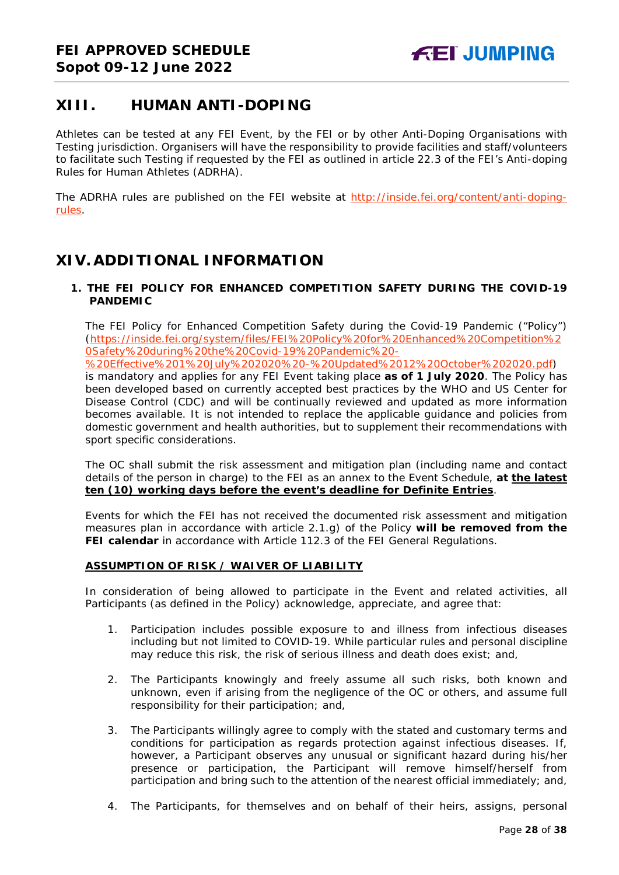## <span id="page-27-0"></span>**XIII. HUMAN ANTI-DOPING**

Athletes can be tested at any FEI Event, by the FEI or by other Anti-Doping Organisations with Testing jurisdiction. Organisers will have the responsibility to provide facilities and staff/volunteers to facilitate such Testing if requested by the FEI as outlined in article 22.3 of the FEI's Anti-doping Rules for Human Athletes (ADRHA).

The ADRHA rules are published on the FEI website at [http://inside.fei.org/content/anti-doping](http://inside.fei.org/content/anti-doping-rules)[rules.](http://inside.fei.org/content/anti-doping-rules)

## <span id="page-27-1"></span>**XIV. ADDITIONAL INFORMATION**

#### <span id="page-27-2"></span>**1. THE FEI POLICY FOR ENHANCED COMPETITION SAFETY DURING THE COVID-19 PANDEMIC**

The FEI Policy for Enhanced Competition Safety during the Covid-19 Pandemic ("Policy") (https://inside.fei.org/system/files/FEI%20Policy%20for%20Enhanced%20Competition%2 0Safety%20during%20the%20Covid-19%20Pandemic%20-

%20Effective%201%20July%202020%20-%20Updated%2012%20October%202020.pdf) is mandatory and applies for any FEI Event taking place **as of 1 July 2020**. The Policy has been developed based on currently accepted best practices by the WHO and US Center for Disease Control (CDC) and will be continually reviewed and updated as more information becomes available. It is not intended to replace the applicable guidance and policies from domestic government and health authorities, but to supplement their recommendations with sport specific considerations.

The OC shall submit the risk assessment and mitigation plan (including name and contact details of the person in charge) to the FEI as an annex to the Event Schedule, **at the latest ten (10) working days before the event's deadline for Definite Entries**.

Events for which the FEI has not received the documented risk assessment and mitigation measures plan in accordance with article 2.1.g) of the Policy **will be removed from the FEI calendar** in accordance with Article 112.3 of the FEI General Regulations.

#### **ASSUMPTION OF RISK / WAIVER OF LIABILITY**

In consideration of being allowed to participate in the Event and related activities, all Participants (as defined in the Policy) acknowledge, appreciate, and agree that:

- 1. Participation includes possible exposure to and illness from infectious diseases including but not limited to COVID-19. While particular rules and personal discipline may reduce this risk, the risk of serious illness and death does exist; and,
- 2. The Participants knowingly and freely assume all such risks, both known and unknown, even if arising from the negligence of the OC or others, and assume full responsibility for their participation; and,
- 3. The Participants willingly agree to comply with the stated and customary terms and conditions for participation as regards protection against infectious diseases. If, however, a Participant observes any unusual or significant hazard during his/her presence or participation, the Participant will remove himself/herself from participation and bring such to the attention of the nearest official immediately; and,
- 4. The Participants, for themselves and on behalf of their heirs, assigns, personal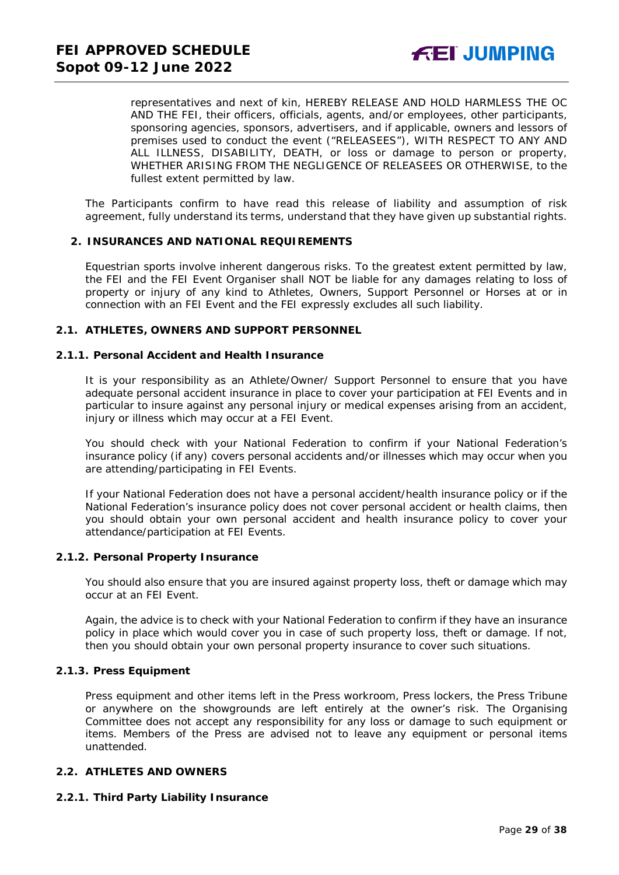representatives and next of kin, HEREBY RELEASE AND HOLD HARMLESS THE OC AND THE FEI, their officers, officials, agents, and/or employees, other participants, sponsoring agencies, sponsors, advertisers, and if applicable, owners and lessors of premises used to conduct the event ("RELEASEES"), WITH RESPECT TO ANY AND ALL ILLNESS, DISABILITY, DEATH, or loss or damage to person or property, WHETHER ARISING FROM THE NEGLIGENCE OF RELEASEES OR OTHERWISE, to the fullest extent permitted by law.

The Participants confirm to have read this release of liability and assumption of risk agreement, fully understand its terms, understand that they have given up substantial rights.

#### <span id="page-28-0"></span>**2. INSURANCES AND NATIONAL REQUIREMENTS**

Equestrian sports involve inherent dangerous risks. To the greatest extent permitted by law, the FEI and the FEI Event Organiser shall NOT be liable for any damages relating to loss of property or injury of any kind to Athletes, Owners, Support Personnel or Horses at or in connection with an FEI Event and the FEI expressly excludes all such liability.

#### **2.1. ATHLETES, OWNERS AND SUPPORT PERSONNEL**

#### **2.1.1. Personal Accident and Health Insurance**

It is your responsibility as an Athlete/Owner/ Support Personnel to ensure that you have adequate personal accident insurance in place to cover your participation at FEI Events and in particular to insure against any personal injury or medical expenses arising from an accident, injury or illness which may occur at a FEI Event.

You should check with your National Federation to confirm if your National Federation's insurance policy (if any) covers personal accidents and/or illnesses which may occur when you are attending/participating in FEI Events.

If your National Federation does not have a personal accident/health insurance policy or if the National Federation's insurance policy does not cover personal accident or health claims, then you should obtain your own personal accident and health insurance policy to cover your attendance/participation at FEI Events.

#### **2.1.2. Personal Property Insurance**

You should also ensure that you are insured against property loss, theft or damage which may occur at an FEI Event.

Again, the advice is to check with your National Federation to confirm if they have an insurance policy in place which would cover you in case of such property loss, theft or damage. If not, then you should obtain your own personal property insurance to cover such situations.

#### **2.1.3. Press Equipment**

Press equipment and other items left in the Press workroom, Press lockers, the Press Tribune or anywhere on the showgrounds are left entirely at the owner's risk. The Organising Committee does not accept any responsibility for any loss or damage to such equipment or items. Members of the Press are advised not to leave any equipment or personal items unattended.

#### **2.2. ATHLETES AND OWNERS**

#### **2.2.1. Third Party Liability Insurance**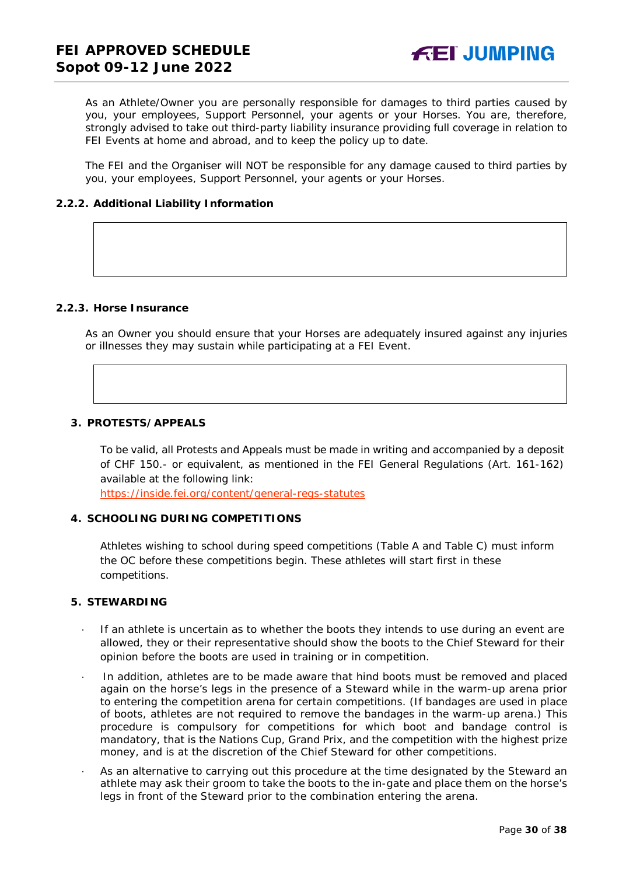As an Athlete/Owner you are personally responsible for damages to third parties caused by you, your employees, Support Personnel, your agents or your Horses. You are, therefore, strongly advised to take out third-party liability insurance providing full coverage in relation to FEI Events at home and abroad, and to keep the policy up to date.

The FEI and the Organiser will NOT be responsible for any damage caused to third parties by you, your employees, Support Personnel, your agents or your Horses.

#### **2.2.2. Additional Liability Information**

#### **2.2.3. Horse Insurance**

As an Owner you should ensure that your Horses are adequately insured against any injuries or illnesses they may sustain while participating at a FEI Event.

#### <span id="page-29-0"></span>**3. PROTESTS/APPEALS**

To be valid, all Protests and Appeals must be made in writing and accompanied by a deposit of CHF 150.- or equivalent, as mentioned in the FEI General Regulations (Art. 161-162) available at the following link:

<https://inside.fei.org/content/general-regs-statutes>

#### <span id="page-29-1"></span>**4. SCHOOLING DURING COMPETITIONS**

Athletes wishing to school during speed competitions (Table A and Table C) must inform the OC before these competitions begin. These athletes will start first in these competitions.

#### <span id="page-29-2"></span>**5. STEWARDING**

- If an athlete is uncertain as to whether the boots they intends to use during an event are allowed, they or their representative should show the boots to the Chief Steward for their opinion before the boots are used in training or in competition.
- In addition, athletes are to be made aware that hind boots must be removed and placed again on the horse's legs in the presence of a Steward while in the warm-up arena prior to entering the competition arena for certain competitions. (If bandages are used in place of boots, athletes are not required to remove the bandages in the warm-up arena.) This procedure is compulsory for competitions for which boot and bandage control is mandatory, that is the Nations Cup, Grand Prix, and the competition with the highest prize money, and is at the discretion of the Chief Steward for other competitions.
- As an alternative to carrying out this procedure at the time designated by the Steward an athlete may ask their groom to take the boots to the in-gate and place them on the horse's legs in front of the Steward prior to the combination entering the arena.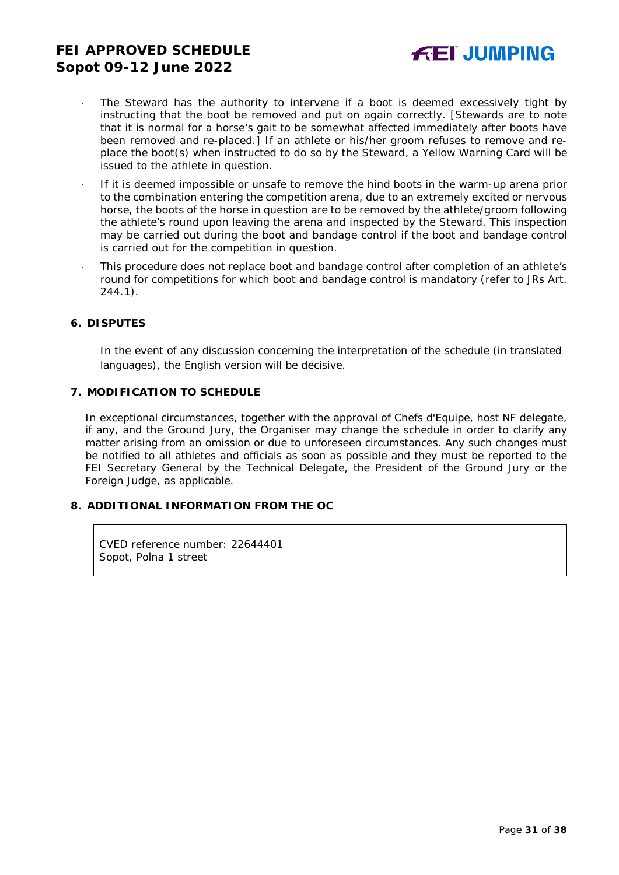- The Steward has the authority to intervene if a boot is deemed excessively tight by instructing that the boot be removed and put on again correctly. *[Stewards are to note that it is normal for a horse's gait to be somewhat affected immediately after boots have been removed and re-placed.]* If an athlete or his/her groom refuses to remove and replace the boot(s) when instructed to do so by the Steward, a Yellow Warning Card will be issued to the athlete in question.
- · If it is deemed impossible or unsafe to remove the hind boots in the warm-up arena prior to the combination entering the competition arena, due to an extremely excited or nervous horse, the boots of the horse in question are to be removed by the athlete/groom following the athlete's round upon leaving the arena and inspected by the Steward. This inspection may be carried out during the boot and bandage control if the boot and bandage control is carried out for the competition in question.
- This procedure does not replace boot and bandage control after completion of an athlete's round for competitions for which boot and bandage control is mandatory (refer to JRs Art. 244.1).

#### <span id="page-30-0"></span>**6. DISPUTES**

In the event of any discussion concerning the interpretation of the schedule (in translated languages), the English version will be decisive.

#### <span id="page-30-1"></span>**7. MODIFICATION TO SCHEDULE**

In exceptional circumstances, together with the approval of Chefs d'Equipe, host NF delegate, if any, and the Ground Jury, the Organiser may change the schedule in order to clarify any matter arising from an omission or due to unforeseen circumstances. Any such changes must be notified to all athletes and officials as soon as possible and they must be reported to the FEI Secretary General by the Technical Delegate, the President of the Ground Jury or the Foreign Judge, as applicable.

#### <span id="page-30-2"></span>**8. ADDITIONAL INFORMATION FROM THE OC**

CVED reference number: 22644401 Sopot, Polna 1 street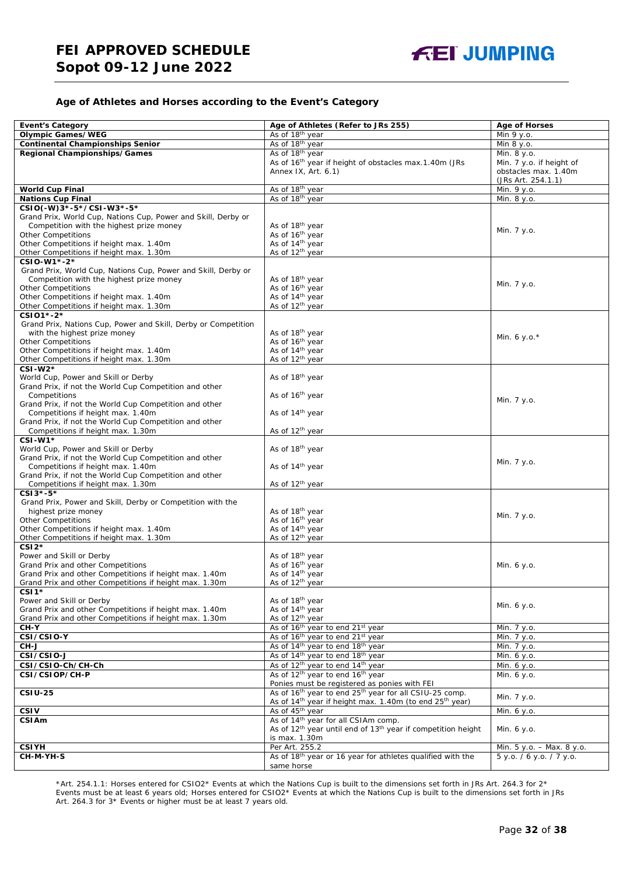#### **Age of Athletes and Horses according to the Event's Category**

| <b>Event's Category</b>                                                                                   | Age of Athletes (Refer to JRs 255)                                                                                             | <b>Age of Horses</b>      |
|-----------------------------------------------------------------------------------------------------------|--------------------------------------------------------------------------------------------------------------------------------|---------------------------|
| <b>Olympic Games/WEG</b>                                                                                  | As of 18 <sup>th</sup> year                                                                                                    | Min 9 y.o.                |
| <b>Continental Championships Senior</b>                                                                   | As of 18 <sup>th</sup> year                                                                                                    | Min 8 y.o.                |
| Regional Championships/Games                                                                              | As of 18 <sup>th</sup> year                                                                                                    | Min. 8 y.o.               |
|                                                                                                           | As of 16 <sup>th</sup> year if height of obstacles max.1.40m (JRs                                                              | Min. 7 y.o. if height of  |
|                                                                                                           | Annex IX, Art. 6.1)                                                                                                            | obstacles max. 1.40m      |
|                                                                                                           |                                                                                                                                | (JRs Art. 254.1.1)        |
| <b>World Cup Final</b>                                                                                    | As of 18th year                                                                                                                | Min. 9 y.o.               |
| <b>Nations Cup Final</b>                                                                                  | As of 18th year                                                                                                                | Min. 8 y.o.               |
| CSIO(-W)3*-5*/CSI-W3*-5*                                                                                  |                                                                                                                                |                           |
| Grand Prix, World Cup, Nations Cup, Power and Skill, Derby or                                             |                                                                                                                                |                           |
| Competition with the highest prize money                                                                  | As of 18 <sup>th</sup> year                                                                                                    | Min. 7 y.o.               |
| <b>Other Competitions</b>                                                                                 | As of 16 <sup>th</sup> year                                                                                                    |                           |
| Other Competitions if height max. 1.40m                                                                   | As of 14 <sup>th</sup> year                                                                                                    |                           |
| Other Competitions if height max. 1.30m                                                                   | As of 12 <sup>th</sup> year                                                                                                    |                           |
| CSIO-W1*-2*                                                                                               |                                                                                                                                |                           |
| Grand Prix, World Cup, Nations Cup, Power and Skill, Derby or<br>Competition with the highest prize money | As of 18 <sup>th</sup> year                                                                                                    |                           |
| <b>Other Competitions</b>                                                                                 | As of 16 <sup>th</sup> year                                                                                                    | Min. 7 y.o.               |
| Other Competitions if height max. 1.40m                                                                   | As of 14 <sup>th</sup> year                                                                                                    |                           |
| Other Competitions if height max. 1.30m                                                                   | As of 12 <sup>th</sup> year                                                                                                    |                           |
| CSI01*-2*                                                                                                 |                                                                                                                                |                           |
| Grand Prix, Nations Cup, Power and Skill, Derby or Competition                                            |                                                                                                                                |                           |
| with the highest prize money                                                                              | As of 18 <sup>th</sup> year                                                                                                    |                           |
| <b>Other Competitions</b>                                                                                 | As of 16 <sup>th</sup> year                                                                                                    | Min. 6 y.o. $*$           |
| Other Competitions if height max. 1.40m                                                                   | As of 14 <sup>th</sup> year                                                                                                    |                           |
| Other Competitions if height max. 1.30m                                                                   | As of 12 <sup>th</sup> year                                                                                                    |                           |
| $CSI-W2*$                                                                                                 |                                                                                                                                |                           |
| World Cup, Power and Skill or Derby                                                                       | As of 18 <sup>th</sup> year                                                                                                    |                           |
| Grand Prix, if not the World Cup Competition and other                                                    |                                                                                                                                |                           |
| Competitions                                                                                              | As of 16 <sup>th</sup> year                                                                                                    | Min. 7 y.o.               |
| Grand Prix, if not the World Cup Competition and other                                                    |                                                                                                                                |                           |
| Competitions if height max. 1.40m<br>Grand Prix, if not the World Cup Competition and other               | As of 14 <sup>th</sup> year                                                                                                    |                           |
| Competitions if height max. 1.30m                                                                         | As of 12 <sup>th</sup> year                                                                                                    |                           |
| $CSI-W1*$                                                                                                 |                                                                                                                                |                           |
| World Cup, Power and Skill or Derby                                                                       | As of 18 <sup>th</sup> year                                                                                                    |                           |
| Grand Prix, if not the World Cup Competition and other                                                    |                                                                                                                                |                           |
| Competitions if height max. 1.40m                                                                         | As of 14 <sup>th</sup> year                                                                                                    | Min. 7 y.o.               |
| Grand Prix, if not the World Cup Competition and other                                                    |                                                                                                                                |                           |
| Competitions if height max. 1.30m                                                                         | As of 12 <sup>th</sup> year                                                                                                    |                           |
| $CSI3*-5*$                                                                                                |                                                                                                                                |                           |
| Grand Prix, Power and Skill, Derby or Competition with the                                                |                                                                                                                                |                           |
| highest prize money                                                                                       | As of 18 <sup>th</sup> year                                                                                                    | Min. 7 y.o.               |
| <b>Other Competitions</b>                                                                                 | As of 16 <sup>th</sup> year                                                                                                    |                           |
| Other Competitions if height max. 1.40m                                                                   | As of 14 <sup>th</sup> year                                                                                                    |                           |
| Other Competitions if height max. 1.30m<br>$CSI2*$                                                        | As of 12 <sup>th</sup> year                                                                                                    |                           |
| Power and Skill or Derby                                                                                  | As of 18th year                                                                                                                |                           |
| Grand Prix and other Competitions                                                                         | As of 16 <sup>th</sup> year                                                                                                    | Min. 6 y.o.               |
| Grand Prix and other Competitions if height max. 1.40m                                                    | As of 14 <sup>th</sup> year                                                                                                    |                           |
| Grand Prix and other Competitions if height max. 1.30m                                                    | As of 12 <sup>th</sup> year                                                                                                    |                           |
| $CSI1*$                                                                                                   |                                                                                                                                |                           |
| Power and Skill or Derby                                                                                  | As of 18 <sup>th</sup> year                                                                                                    |                           |
| Grand Prix and other Competitions if height max. 1.40m                                                    | As of 14 <sup>th</sup> year                                                                                                    | Min. 6 y.o.               |
| Grand Prix and other Competitions if height max. 1.30m                                                    | As of 12 <sup>th</sup> year                                                                                                    |                           |
| CH-Y                                                                                                      | As of 16 <sup>th</sup> year to end 21 <sup>st</sup> year                                                                       | Min. 7 y.o.               |
| CSI/CSIO-Y                                                                                                | As of 16 <sup>th</sup> year to end 21 <sup>st</sup> year                                                                       | Min. 7 y.o.               |
| CH-J                                                                                                      | As of 14 <sup>th</sup> year to end 18 <sup>th</sup> year                                                                       | Min. 7 y.o.               |
| CSI/CSIO-J                                                                                                | As of 14 <sup>th</sup> year to end 18 <sup>th</sup> year                                                                       | Min. 6 y.o.               |
| CSI/CSIO-Ch/CH-Ch                                                                                         | As of 12 <sup>th</sup> year to end 14 <sup>th</sup> year                                                                       | Min. 6 y.o.               |
| CSI/CSIOP/CH-P                                                                                            | As of 12 <sup>th</sup> year to end 16 <sup>th</sup> year                                                                       | Min. 6 y.o.               |
| <b>CSIU-25</b>                                                                                            | Ponies must be registered as ponies with FEI<br>As of 16 <sup>th</sup> year to end 25 <sup>th</sup> year for all CSIU-25 comp. |                           |
|                                                                                                           | As of 14 <sup>th</sup> year if height max. 1.40m (to end 25 <sup>th</sup> year)                                                | Min. 7 y.o.               |
| <b>CSIV</b>                                                                                               | As of 45 <sup>th</sup> year                                                                                                    | Min. 6 y.o.               |
| <b>CSIAm</b>                                                                                              | As of 14 <sup>th</sup> year for all CSIAm comp.                                                                                |                           |
|                                                                                                           | As of 12 <sup>th</sup> year until end of 13 <sup>th</sup> year if competition height                                           | Min. 6 y.o.               |
|                                                                                                           | is max. 1.30m                                                                                                                  |                           |
| <b>CSIYH</b>                                                                                              | Per Art. 255.2                                                                                                                 | Min. 5 y.o. - Max. 8 y.o. |
| CH-M-YH-S                                                                                                 | As of 18th year or 16 year for athletes qualified with the                                                                     | 5 y.o. / 6 y.o. / 7 y.o.  |
|                                                                                                           | same horse                                                                                                                     |                           |

\*Art. 254.1.1: Horses entered for CSIO2\* Events at which the Nations Cup is built to the dimensions set forth in JRs Art. 264.3 for 2\* Events must be at least 6 years old; Horses entered for CSIO2\* Events at which the Nations Cup is built to the dimensions set forth in JRs Art. 264.3 for 3\* Events or higher must be at least 7 years old.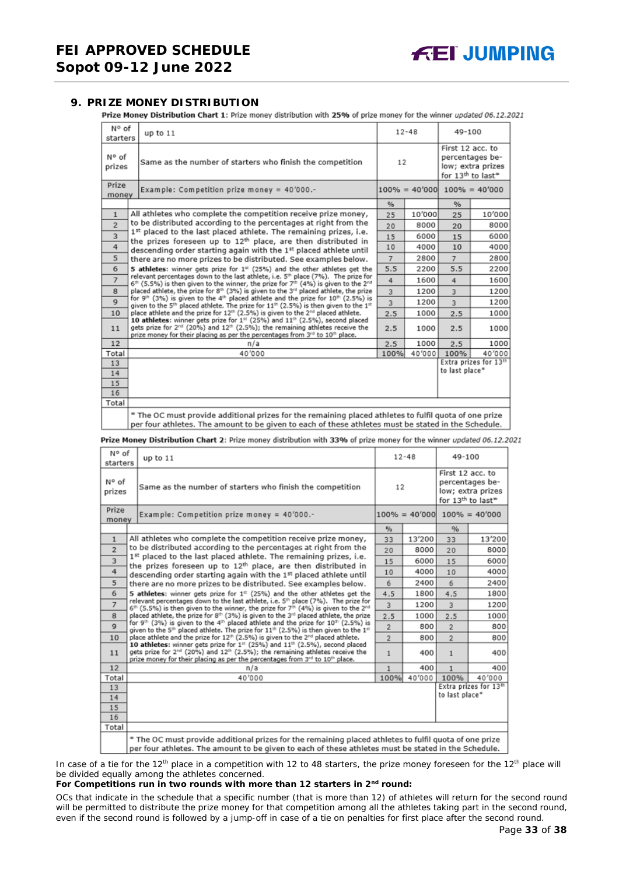#### <span id="page-32-0"></span>**9. PRIZE MONEY DISTRIBUTION**

Prize Money Distribution Chart 1: Prize money distribution with 25% of prize money for the winner updated 06.12.2021

| N° of<br>starters                                                                          | up to 11                                                                                                                                                                                                                                                                                                            |                | $12 - 48$ | 49-100           |                                                           |
|--------------------------------------------------------------------------------------------|---------------------------------------------------------------------------------------------------------------------------------------------------------------------------------------------------------------------------------------------------------------------------------------------------------------------|----------------|-----------|------------------|-----------------------------------------------------------|
| N° of<br>prizes                                                                            | Same as the number of starters who finish the competition                                                                                                                                                                                                                                                           | 12             |           | First 12 acc. to | percentages be-<br>low; extra prizes<br>for 13th to last* |
| Prize<br>money                                                                             | Example: Competition prize money = $40'000$ .-                                                                                                                                                                                                                                                                      |                |           |                  | $100\% = 40'000$ $100\% = 40'000$                         |
|                                                                                            |                                                                                                                                                                                                                                                                                                                     | %              |           | %                |                                                           |
| $\mathbf{1}$                                                                               | All athletes who complete the competition receive prize money,                                                                                                                                                                                                                                                      | 25             | 10'000    | 25               | 10'000                                                    |
| $\overline{2}$                                                                             | to be distributed according to the percentages at right from the                                                                                                                                                                                                                                                    | 20             | 8000      | 20               | 8000                                                      |
| 3                                                                                          | 1st placed to the last placed athlete. The remaining prizes, i.e.<br>the prizes foreseen up to 12 <sup>th</sup> place, are then distributed in                                                                                                                                                                      | 15             | 6000      | 15               | 6000                                                      |
| 4                                                                                          | descending order starting again with the 1st placed athlete until                                                                                                                                                                                                                                                   | 10             | 4000      | 10               | 4000                                                      |
| 5                                                                                          | there are no more prizes to be distributed. See examples below.                                                                                                                                                                                                                                                     | $\overline{7}$ | 2800      | $\overline{7}$   | 2800                                                      |
| 6<br>5 athletes: winner gets prize for 1 <sup>#</sup> (25%) and the other athletes get the |                                                                                                                                                                                                                                                                                                                     |                | 2200      | 5.5              | 2200                                                      |
| $\overline{7}$                                                                             | relevant percentages down to the last athlete, i.e. 5 <sup>th</sup> place (7%). The prize for<br>$6th$ (5.5%) is then given to the winner, the prize for 7 <sup>th</sup> (4%) is given to the 2 <sup>nd</sup>                                                                                                       | 4              | 1600      | $\frac{4}{3}$    | 1600                                                      |
| 8                                                                                          | placed athlete, the prize for 8th (3%) is given to the 3rd placed athlete, the prize                                                                                                                                                                                                                                | 3              | 1200      | 3                | 1200                                                      |
| $\mathbf Q$                                                                                | for 9 <sup>th</sup> (3%) is given to the 4 <sup>th</sup> placed athlete and the prize for 10 <sup>th</sup> (2.5%) is<br>given to the 5 <sup>th</sup> placed athlete. The prize for $11^{th}$ (2.5%) is then given to the $1^{th}$                                                                                   | 3              | 1200      | $\overline{3}$   | 1200                                                      |
| 10                                                                                         | place athlete and the prize for 12 <sup>th</sup> (2.5%) is given to the 2 <sup>nd</sup> placed athlete.                                                                                                                                                                                                             | 2.5            | 1000      | 2.5              | 1000                                                      |
| 11                                                                                         | 10 athletes: winner gets prize for 1 <sup>st</sup> (25%) and 11 <sup>th</sup> (2.5%), second placed<br>gets prize for 2 <sup>nd</sup> (20%) and 12 <sup>th</sup> (2.5%); the remaining athletes receive the<br>prize money for their placing as per the percentages from 3 <sup>rd</sup> to 10 <sup>th</sup> place. | 2.5            | 1000      | 2.5              | 1000                                                      |
| 12                                                                                         | n/a                                                                                                                                                                                                                                                                                                                 | 2.5            | 1000      | 2.5              | 1000                                                      |
| Total                                                                                      | 40'000                                                                                                                                                                                                                                                                                                              | 100%           | 40'000    | 100%             | 40'000                                                    |
| 13                                                                                         |                                                                                                                                                                                                                                                                                                                     |                |           |                  | Extra prizes for 13th                                     |
| 14                                                                                         |                                                                                                                                                                                                                                                                                                                     |                |           | to last place*   |                                                           |
| 15                                                                                         |                                                                                                                                                                                                                                                                                                                     |                |           |                  |                                                           |
| 16                                                                                         |                                                                                                                                                                                                                                                                                                                     |                |           |                  |                                                           |
| Total                                                                                      |                                                                                                                                                                                                                                                                                                                     |                |           |                  |                                                           |
|                                                                                            | * The OC must provide additional prizes for the remaining placed athletes to fulfil quota of one prize<br>per four athletes. The amount to be given to each of these athletes must be stated in the Schedule.                                                                                                       |                |           |                  |                                                           |

Prize Money Distribution Chart 2: Prize money distribution with 33% of prize money for the winner updated 06.12.2021

| N° of<br>starters | up to $11$                                                                                                                                                                                                                                                          |                | $12 - 48$ | 49-100           |                                                                       |
|-------------------|---------------------------------------------------------------------------------------------------------------------------------------------------------------------------------------------------------------------------------------------------------------------|----------------|-----------|------------------|-----------------------------------------------------------------------|
| N° of<br>prizes   | Same as the number of starters who finish the competition                                                                                                                                                                                                           | 12             |           | First 12 acc. to | percentages be-<br>low; extra prizes<br>for 13 <sup>th</sup> to last* |
| Prize<br>money    | Example: Competition prize money = 40'000.-                                                                                                                                                                                                                         |                |           |                  | $100\% = 40'000$ $100\% = 40'000$                                     |
|                   |                                                                                                                                                                                                                                                                     | $\frac{9}{6}$  |           | %                |                                                                       |
| $\mathbf{1}$      | All athletes who complete the competition receive prize money,                                                                                                                                                                                                      | 33             | 13'200    | 33               | 13'200                                                                |
| $\overline{2}$    | to be distributed according to the percentages at right from the                                                                                                                                                                                                    | 20             | 8000      | 20               | 8000                                                                  |
| 3                 | 1st placed to the last placed athlete. The remaining prizes, i.e.<br>the prizes foreseen up to 12 <sup>th</sup> place, are then distributed in                                                                                                                      | 15             | 6000      | 15               | 6000                                                                  |
| 4                 | descending order starting again with the 1st placed athlete until                                                                                                                                                                                                   | 10             | 4000      | 10               | 4000                                                                  |
| 5                 | there are no more prizes to be distributed. See examples below.                                                                                                                                                                                                     | 6              | 2400      | 6                | 2400                                                                  |
| 6                 | 5 athletes: winner gets prize for $1st$ (25%) and the other athletes get the                                                                                                                                                                                        |                |           | 4.5              | 1800                                                                  |
| $\overline{7}$    | relevant percentages down to the last athlete, i.e. 5 <sup>th</sup> place (7%). The prize for<br>6 <sup>th</sup> (5.5%) is then given to the winner, the prize for 7 <sup>th</sup> (4%) is given to the 2 <sup>nd</sup>                                             | 3              | 1200      | $\overline{3}$   | 1200                                                                  |
| 8                 | placed athlete, the prize for 8th (3%) is given to the 3 <sup>rd</sup> placed athlete, the prize                                                                                                                                                                    | 2.5            | 1000      | 2.5              | 1000                                                                  |
| $\mathbf Q$       | for 9th (3%) is given to the 4th placed athlete and the prize for 10th (2.5%) is<br>given to the 5 <sup>th</sup> placed athlete. The prize for 11 <sup>th</sup> (2.5%) is then given to the 1 <sup>st</sup>                                                         | $\overline{2}$ | 800       | $\overline{2}$   | 800                                                                   |
| 10                | place athlete and the prize for 12 <sup>th</sup> (2.5%) is given to the 2 <sup>rd</sup> placed athlete.                                                                                                                                                             | $\overline{2}$ | 800       | $\overline{2}$   | 800                                                                   |
| 11                | 10 athletes: winner gets prize for 1st (25%) and 11th (2.5%), second placed<br>gets prize for 2 <sup>nd</sup> (20%) and 12 <sup>th</sup> (2.5%); the remaining athletes receive the<br>prize money for their placing as per the percentages from 3rd to 10th place. | $\mathbf{1}$   | 400       | $\mathbf{1}$     | 400                                                                   |
| 12                | n/a                                                                                                                                                                                                                                                                 | 1              | 400       | 1                | 400                                                                   |
| Total             | 40'000                                                                                                                                                                                                                                                              | 100%           | 40'000    | 100%             | 40'000                                                                |
| 13                |                                                                                                                                                                                                                                                                     |                |           | to last place*   | Extra prizes for 13th                                                 |
| 14                |                                                                                                                                                                                                                                                                     |                |           |                  |                                                                       |
| 15                |                                                                                                                                                                                                                                                                     |                |           |                  |                                                                       |
| 16<br>Total       |                                                                                                                                                                                                                                                                     |                |           |                  |                                                                       |
|                   |                                                                                                                                                                                                                                                                     |                |           |                  |                                                                       |
|                   | * The OC must provide additional prizes for the remaining placed athletes to fulfil quota of one prize<br>per four athletes. The amount to be given to each of these athletes must be stated in the Schedule.                                                       |                |           |                  |                                                                       |

In case of a tie for the 12<sup>th</sup> place in a competition with 12 to 48 starters, the prize money foreseen for the 12<sup>th</sup> place will be divided equally among the athletes concerned.

#### **For Competitions run in two rounds with more than 12 starters in 2nd round:**

*OCs that indicate in the schedule that a specific number (that is more than 12) of athletes will return for the second round will be permitted to distribute the prize money for that competition among all the athletes taking part in the second round, even if the second round is followed by a jump-off in case of a tie on penalties for first place after the second round.*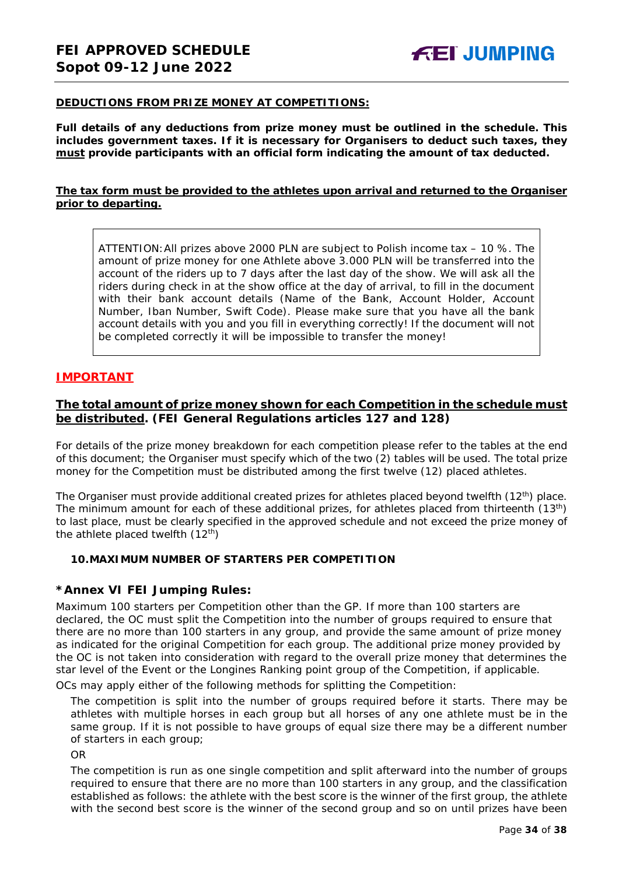#### **DEDUCTIONS FROM PRIZE MONEY AT COMPETITIONS:**

**Full details of any deductions from prize money must be outlined in the schedule. This includes government taxes. If it is necessary for Organisers to deduct such taxes, they must provide participants with an official form indicating the amount of tax deducted.** 

#### **The tax form must be provided to the athletes upon arrival and returned to the Organiser prior to departing.**

ATTENTION:All prizes above 2000 PLN are subject to Polish income tax – 10 %. The amount of prize money for one Athlete above 3.000 PLN will be transferred into the account of the riders up to 7 days after the last day of the show. We will ask all the riders during check in at the show office at the day of arrival, to fill in the document with their bank account details (Name of the Bank, Account Holder, Account Number, Iban Number, Swift Code). Please make sure that you have all the bank account details with you and you fill in everything correctly! If the document will not be completed correctly it will be impossible to transfer the money!

#### **IMPORTANT**

#### **The total amount of prize money shown for each Competition in the schedule must be distributed. (FEI General Regulations articles 127 and 128)**

For details of the prize money breakdown for each competition please refer to the tables at the end of this document; the Organiser must specify which of the two (2) tables will be used. The total prize money for the Competition must be distributed among the first twelve (12) placed athletes.

The Organiser must provide additional created prizes for athletes placed beyond twelfth  $(12^{th})$  place. The minimum amount for each of these additional prizes, for athletes placed from thirteenth (13<sup>th</sup>) to last place, must be clearly specified in the approved schedule and not exceed the prize money of the athlete placed twelfth  $(12<sup>th</sup>)$ 

#### <span id="page-33-0"></span>**10.MAXIMUM NUMBER OF STARTERS PER COMPETITION**

#### **\*Annex VI FEI Jumping Rules:**

Maximum 100 starters per Competition other than the GP. If more than 100 starters are declared, the OC must split the Competition into the number of groups required to ensure that there are no more than 100 starters in any group, and provide the same amount of prize money as indicated for the original Competition for each group. The additional prize money provided by the OC is not taken into consideration with regard to the overall prize money that determines the star level of the Event or the Longines Ranking point group of the Competition, if applicable.

OCs may apply either of the following methods for splitting the Competition:

The competition is split into the number of groups required before it starts. There may be athletes with multiple horses in each group but all horses of any one athlete must be in the same group. If it is not possible to have groups of equal size there may be a different number of starters in each group;

OR

The competition is run as one single competition and split afterward into the number of groups required to ensure that there are no more than 100 starters in any group, and the classification established as follows: the athlete with the best score is the winner of the first group, the athlete with the second best score is the winner of the second group and so on until prizes have been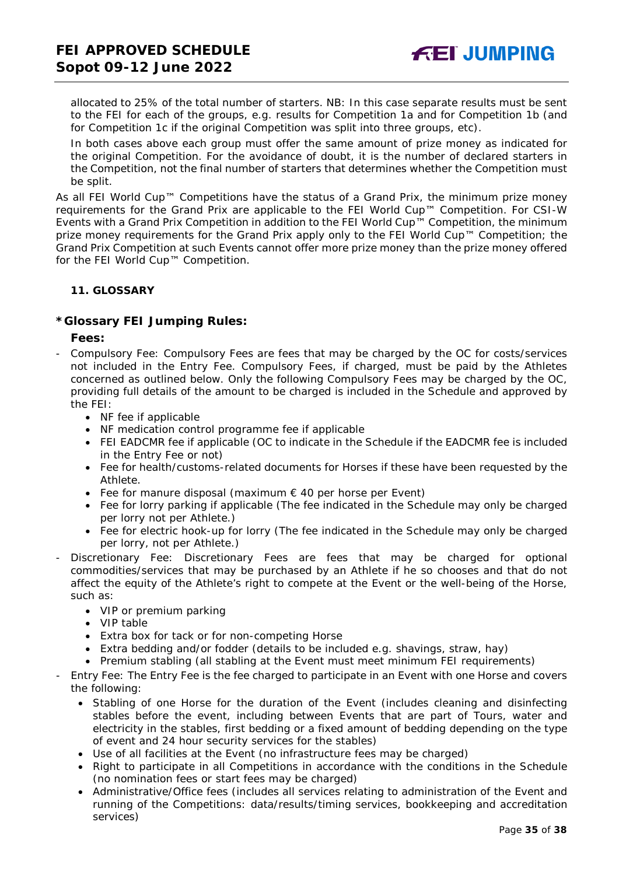allocated to 25% of the total number of starters. *NB: In this case separate results must be sent to the FEI for each of the groups, e.g. results for Competition 1a and for Competition 1b (and for Competition 1c if the original Competition was split into three groups, etc).*

In both cases above each group must offer the same amount of prize money as indicated for the original Competition. For the avoidance of doubt, it is the number of declared starters in the Competition, not the final number of starters that determines whether the Competition must be split.

As all FEI World Cup™ Competitions have the status of a Grand Prix, the minimum prize money requirements for the Grand Prix are applicable to the FEI World Cup™ Competition. For CSI-W Events with a Grand Prix Competition in addition to the FEI World Cup™ Competition, the minimum prize money requirements for the Grand Prix apply only to the FEI World Cup™ Competition; the Grand Prix Competition at such Events cannot offer more prize money than the prize money offered for the FEI World Cup™ Competition.

#### <span id="page-34-0"></span>**11. GLOSSARY**

#### **\*Glossary FEI Jumping Rules:**

**Fees:**

- Compulsory Fee: Compulsory Fees are fees that may be charged by the OC for costs/services not included in the Entry Fee. Compulsory Fees, if charged, must be paid by the Athletes concerned as outlined below. Only the following Compulsory Fees may be charged by the OC, providing full details of the amount to be charged is included in the Schedule and approved by the FEI:
	- NF fee if applicable
	- NF medication control programme fee if applicable
	- FEI EADCMR fee if applicable (OC to indicate in the Schedule if the EADCMR fee is included in the Entry Fee or not)
	- Fee for health/customs-related documents for Horses if these have been requested by the Athlete.
	- Fee for manure disposal (maximum  $\epsilon$  40 per horse per Event)
	- Fee for lorry parking if applicable (The fee indicated in the Schedule may only be charged per lorry not per Athlete.)
	- Fee for electric hook-up for lorry (The fee indicated in the Schedule may only be charged per lorry, not per Athlete.)
- Discretionary Fee: Discretionary Fees are fees that may be charged for optional commodities/services that may be purchased by an Athlete if he so chooses and that do not affect the equity of the Athlete's right to compete at the Event or the well-being of the Horse, such as:
	- VIP or premium parking
	- VIP table
	- Extra box for tack or for non-competing Horse
	- Extra bedding and/or fodder (details to be included e.g. shavings, straw, hay)
	- Premium stabling (all stabling at the Event must meet minimum FEI requirements)
- Entry Fee: The Entry Fee is the fee charged to participate in an Event with one Horse and covers the following:
	- Stabling of one Horse for the duration of the Event (includes cleaning and disinfecting stables before the event, including between Events that are part of Tours, water and electricity in the stables, first bedding or a fixed amount of bedding depending on the type of event and 24 hour security services for the stables)
	- Use of all facilities at the Event (no infrastructure fees may be charged)
	- Right to participate in all Competitions in accordance with the conditions in the Schedule (no nomination fees or start fees may be charged)
	- Administrative/Office fees (includes all services relating to administration of the Event and running of the Competitions: data/results/timing services, bookkeeping and accreditation services)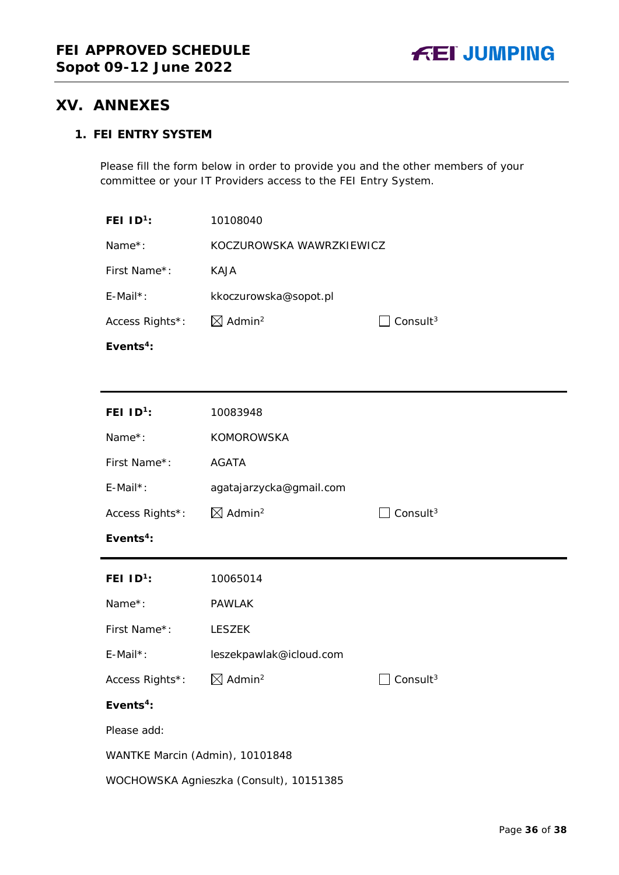## <span id="page-35-0"></span>**XV. ANNEXES**

### **1. FEI ENTRY SYSTEM**

Please fill the form below in order to provide you and the other members of your committee or your IT Providers access to the FEI Entry System.

| FEI $1D^1$ :                            | 10108040                       |                      |  |
|-----------------------------------------|--------------------------------|----------------------|--|
| Name*:                                  | KOCZUROWSKA WAWRZKIEWICZ       |                      |  |
| First Name*:                            | <b>KAJA</b>                    |                      |  |
| $E$ -Mail*:                             | kkoczurowska@sopot.pl          |                      |  |
| Access Rights*:                         | $\boxtimes$ Admin <sup>2</sup> | Consult $3$          |  |
| Events <sup>4</sup> :                   |                                |                      |  |
|                                         |                                |                      |  |
| FEI $1D^1$ :                            | 10083948                       |                      |  |
| Name*:                                  | <b>KOMOROWSKA</b>              |                      |  |
| First Name*:                            | <b>AGATA</b>                   |                      |  |
| $E$ -Mail*:                             | agatajarzycka@gmail.com        |                      |  |
| Access Rights*:                         | $\boxtimes$ Admin <sup>2</sup> | Consult <sup>3</sup> |  |
| Events $4$ :                            |                                |                      |  |
| FEI $ID^1$ :                            | 10065014                       |                      |  |
| Name*:                                  | <b>PAWLAK</b>                  |                      |  |
| First Name*:                            | <b>LESZEK</b>                  |                      |  |
| $E$ -Mail*:                             | leszekpawlak@icloud.com        |                      |  |
| Access Rights*:                         | $\boxtimes$ Admin <sup>2</sup> | Consult <sup>3</sup> |  |
| Events <sup>4</sup> :                   |                                |                      |  |
| Please add:                             |                                |                      |  |
| WANTKE Marcin (Admin), 10101848         |                                |                      |  |
| WOCHOWSKA Agnieszka (Consult), 10151385 |                                |                      |  |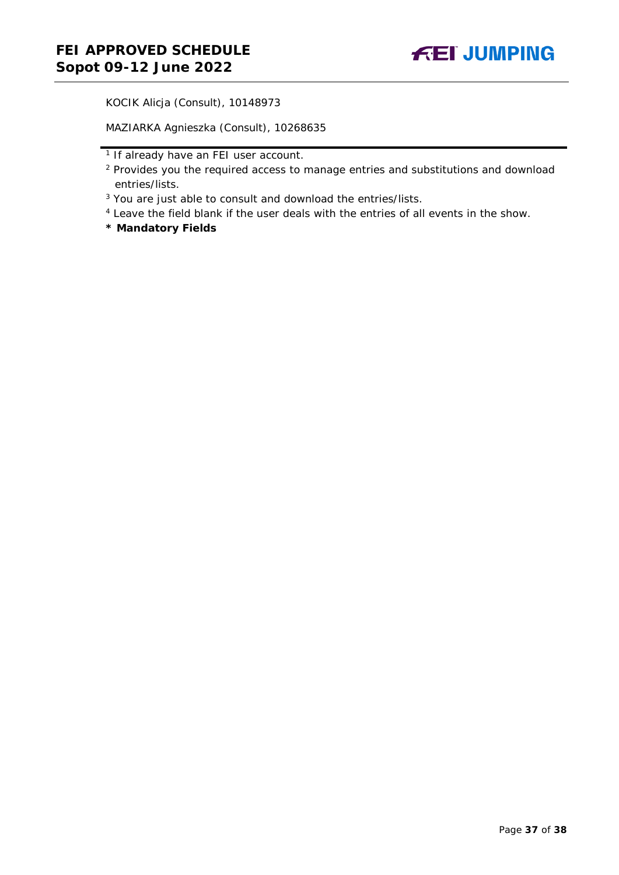KOCIK Alicja (Consult), 10148973

MAZIARKA Agnieszka (Consult), 10268635

- <sup>1</sup> If already have an FEI user account.
- <sup>2</sup> Provides you the required access to manage entries and substitutions and download entries/lists.
- <sup>3</sup> You are just able to consult and download the entries/lists.
- <sup>4</sup> Leave the field blank if the user deals with the entries of all events in the show.
- **\* Mandatory Fields**